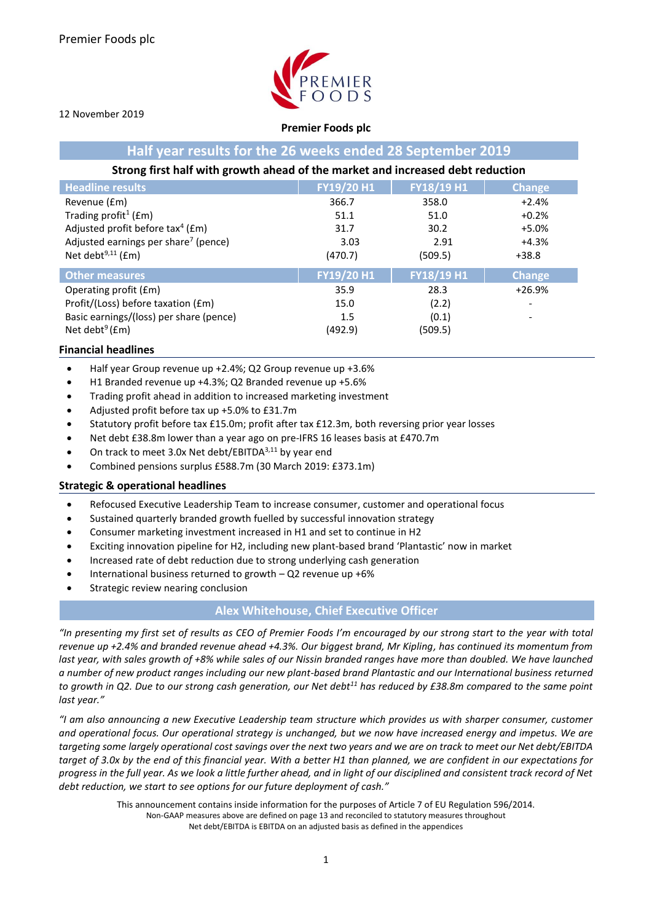

12 November 2019

### **Premier Foods plc**

| Half year results for the 26 weeks ended 28 September 2019                     |            |            |               |  |
|--------------------------------------------------------------------------------|------------|------------|---------------|--|
| Strong first half with growth ahead of the market and increased debt reduction |            |            |               |  |
| <b>Headline results</b>                                                        | FY19/20 H1 | FY18/19 H1 | <b>Change</b> |  |
| Revenue (£m)                                                                   | 366.7      | 358.0      | $+2.4%$       |  |
| Trading profit <sup>1</sup> ( $Em$ )                                           | 51.1       | 51.0       | $+0.2%$       |  |
| Adjusted profit before tax <sup>4</sup> ( $Em$ )                               | 31.7       | 30.2       | $+5.0%$       |  |
| Adjusted earnings per share <sup>7</sup> (pence)                               | 3.03       | 2.91       | $+4.3%$       |  |
| Net debt $9,11$ (£m)                                                           | (470.7)    | (509.5)    | $+38.8$       |  |
| <b>Other measures</b>                                                          | FY19/20 H1 | FY18/19 H1 | <b>Change</b> |  |
| Operating profit (£m)                                                          | 35.9       | 28.3       | $+26.9%$      |  |
| Profit/(Loss) before taxation (£m)                                             | 15.0       | (2.2)      | ۰             |  |
| Basic earnings/(loss) per share (pence)                                        | 1.5        | (0.1)      | ۰             |  |
| Net debt <sup>9</sup> ( $Em$ )                                                 | (492.9)    | (509.5)    |               |  |

### **Financial headlines**

- Half year Group revenue up +2.4%; Q2 Group revenue up +3.6%
- H1 Branded revenue up +4.3%; Q2 Branded revenue up +5.6%
- Trading profit ahead in addition to increased marketing investment
- Adjusted profit before tax up +5.0% to £31.7m
- Statutory profit before tax £15.0m; profit after tax £12.3m, both reversing prior year losses
- Net debt £38.8m lower than a year ago on pre-IFRS 16 leases basis at £470.7m
- On track to meet 3.0x Net debt/EBITDA<sup>3,11</sup> by year end
- Combined pensions surplus £588.7m (30 March 2019: £373.1m)

### **Strategic & operational headlines**

- Refocused Executive Leadership Team to increase consumer, customer and operational focus
- Sustained quarterly branded growth fuelled by successful innovation strategy
- Consumer marketing investment increased in H1 and set to continue in H2
- Exciting innovation pipeline for H2, including new plant-based brand 'Plantastic' now in market
- Increased rate of debt reduction due to strong underlying cash generation
- International business returned to growth  $-$  Q2 revenue up +6%
- Strategic review nearing conclusion

### **Alex Whitehouse, Chief Executive Officer**

*"In presenting my first set of results as CEO of Premier Foods I'm encouraged by our strong start to the year with total revenue up +2.4% and branded revenue ahead +4.3%. Our biggest brand, Mr Kipling, has continued its momentum from last year, with sales growth of +8% while sales of our Nissin branded ranges have more than doubled. We have launched a number of new product ranges including our new plant-based brand Plantastic and our International business returned to growth in Q2. Due to our strong cash generation, our Net debt<sup>11</sup> has reduced by £38.8m compared to the same point last year."*

*"I am also announcing a new Executive Leadership team structure which provides us with sharper consumer, customer and operational focus. Our operational strategy is unchanged, but we now have increased energy and impetus. We are targeting some largely operational cost savings over the next two years and we are on track to meet our Net debt/EBITDA target of 3.0x by the end of this financial year. With a better H1 than planned, we are confident in our expectations for progress in the full year. As we look a little further ahead, and in light of our disciplined and consistent track record of Net debt reduction, we start to see options for our future deployment of cash."*

> This announcement contains inside information for the purposes of Article 7 of EU Regulation 596/2014. Non-GAAP measures above are defined on page 13 and reconciled to statutory measures throughout Net debt/EBITDA is EBITDA on an adjusted basis as defined in the appendices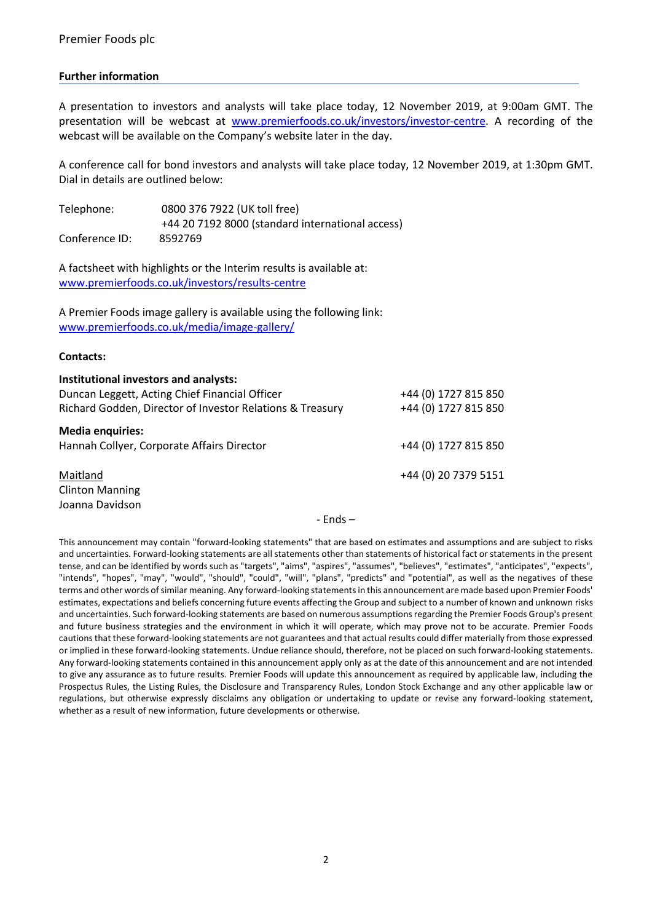### **Further information**

A presentation to investors and analysts will take place today, 12 November 2019, at 9:00am GMT. The presentation will be webcast at [www.premierfoods.co.uk/investors/investor-centre.](http://www.premierfoods.co.uk/investors/investor-centre) A recording of the webcast will be available on the Company's website later in the day.

A conference call for bond investors and analysts will take place today, 12 November 2019, at 1:30pm GMT. Dial in details are outlined below:

| Telephone:     | 0800 376 7922 (UK toll free)                     |
|----------------|--------------------------------------------------|
|                | +44 20 7192 8000 (standard international access) |
| Conference ID: | 8592769                                          |

A factsheet with highlights or the Interim results is available at: [www.premierfoods.co.uk/investors/results-centre](http://www.premierfoods.co.uk/investors/results-centre)

A Premier Foods image gallery is available using the following link: [www.premierfoods.co.uk/media/image-gallery/](http://www.premierfoods.co.uk/media/image-gallery/)

#### **Contacts:**

| Institutional investors and analysts:                     |                      |
|-----------------------------------------------------------|----------------------|
| Duncan Leggett, Acting Chief Financial Officer            | +44 (0) 1727 815 850 |
| Richard Godden, Director of Investor Relations & Treasury | +44 (0) 1727 815 850 |
| <b>Media enquiries:</b>                                   |                      |
| Hannah Collyer, Corporate Affairs Director                | +44 (0) 1727 815 850 |
| Maitland                                                  | +44 (0) 20 7379 5151 |
| <b>Clinton Manning</b>                                    |                      |
| Joanna Davidson                                           |                      |

- Ends –

This announcement may contain "forward-looking statements" that are based on estimates and assumptions and are subject to risks and uncertainties. Forward-looking statements are all statements other than statements of historical fact or statements in the present tense, and can be identified by words such as "targets", "aims", "aspires", "assumes", "believes", "estimates", "anticipates", "expects", "intends", "hopes", "may", "would", "should", "could", "will", "plans", "predicts" and "potential", as well as the negatives of these terms and other words of similar meaning. Any forward-looking statements in this announcement are made based upon Premier Foods' estimates, expectations and beliefs concerning future events affecting the Group and subject to a number of known and unknown risks and uncertainties. Such forward-looking statements are based on numerous assumptions regarding the Premier Foods Group's present and future business strategies and the environment in which it will operate, which may prove not to be accurate. Premier Foods cautions that these forward-looking statements are not guarantees and that actual results could differ materially from those expressed or implied in these forward-looking statements. Undue reliance should, therefore, not be placed on such forward-looking statements. Any forward-looking statements contained in this announcement apply only as at the date of this announcement and are not intended to give any assurance as to future results. Premier Foods will update this announcement as required by applicable law, including the Prospectus Rules, the Listing Rules, the Disclosure and Transparency Rules, London Stock Exchange and any other applicable law or regulations, but otherwise expressly disclaims any obligation or undertaking to update or revise any forward-looking statement, whether as a result of new information, future developments or otherwise.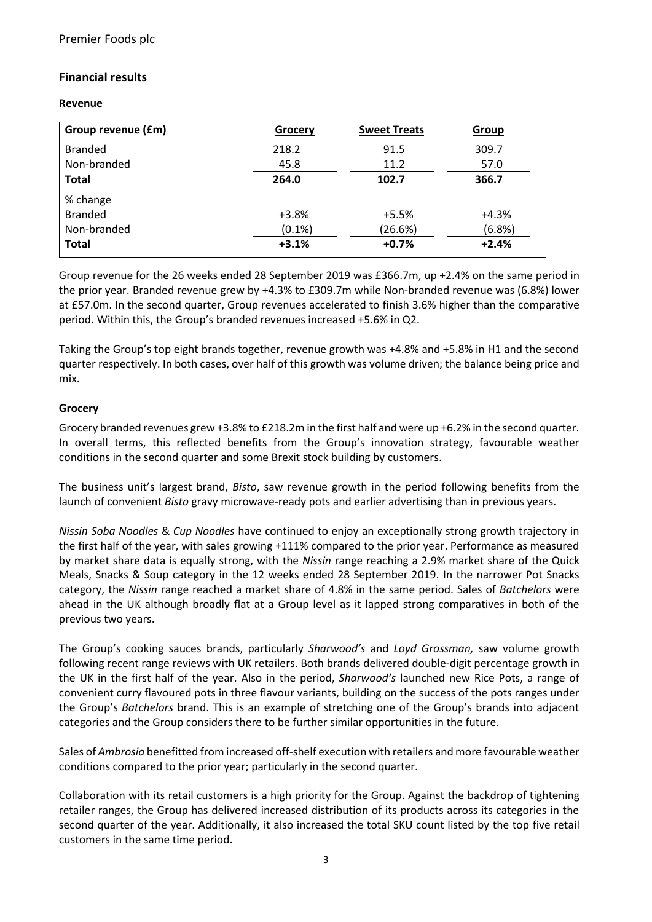# **Financial results**

# **Revenue**

| Group revenue (£m) | Grocery   | <b>Sweet Treats</b> | Group   |
|--------------------|-----------|---------------------|---------|
| <b>Branded</b>     | 218.2     | 91.5                | 309.7   |
| Non-branded        | 45.8      | 11.2                | 57.0    |
| <b>Total</b>       | 264.0     | 102.7               | 366.7   |
| % change           |           |                     |         |
| <b>Branded</b>     | $+3.8%$   | $+5.5%$             | $+4.3%$ |
| Non-branded        | $(0.1\%)$ | (26.6%)             | (6.8%)  |
| <b>Total</b>       | $+3.1%$   | $+0.7%$             | $+2.4%$ |

Group revenue for the 26 weeks ended 28 September 2019 was £366.7m, up +2.4% on the same period in the prior year. Branded revenue grew by +4.3% to £309.7m while Non-branded revenue was (6.8%) lower at £57.0m. In the second quarter, Group revenues accelerated to finish 3.6% higher than the comparative period. Within this, the Group's branded revenues increased +5.6% in Q2.

Taking the Group's top eight brands together, revenue growth was +4.8% and +5.8% in H1 and the second quarter respectively. In both cases, over half of this growth was volume driven; the balance being price and mix.

# **Grocery**

Grocery branded revenues grew +3.8% to £218.2m in the first half and were up +6.2% in the second quarter. In overall terms, this reflected benefits from the Group's innovation strategy, favourable weather conditions in the second quarter and some Brexit stock building by customers.

The business unit's largest brand, *Bisto*, saw revenue growth in the period following benefits from the launch of convenient *Bisto* gravy microwave-ready pots and earlier advertising than in previous years.

*Nissin Soba Noodles* & *Cup Noodles* have continued to enjoy an exceptionally strong growth trajectory in the first half of the year, with sales growing +111% compared to the prior year. Performance as measured by market share data is equally strong, with the *Nissin* range reaching a 2.9% market share of the Quick Meals, Snacks & Soup category in the 12 weeks ended 28 September 2019. In the narrower Pot Snacks category, the *Nissin* range reached a market share of 4.8% in the same period. Sales of *Batchelors* were ahead in the UK although broadly flat at a Group level as it lapped strong comparatives in both of the previous two years.

The Group's cooking sauces brands, particularly *Sharwood's* and *Loyd Grossman,* saw volume growth following recent range reviews with UK retailers. Both brands delivered double-digit percentage growth in the UK in the first half of the year. Also in the period, *Sharwood's* launched new Rice Pots, a range of convenient curry flavoured pots in three flavour variants, building on the success of the pots ranges under the Group's *Batchelors* brand. This is an example of stretching one of the Group's brands into adjacent categories and the Group considers there to be further similar opportunities in the future.

Sales of *Ambrosia* benefitted from increased off-shelf execution with retailers and more favourable weather conditions compared to the prior year; particularly in the second quarter.

Collaboration with its retail customers is a high priority for the Group. Against the backdrop of tightening retailer ranges, the Group has delivered increased distribution of its products across its categories in the second quarter of the year. Additionally, it also increased the total SKU count listed by the top five retail customers in the same time period.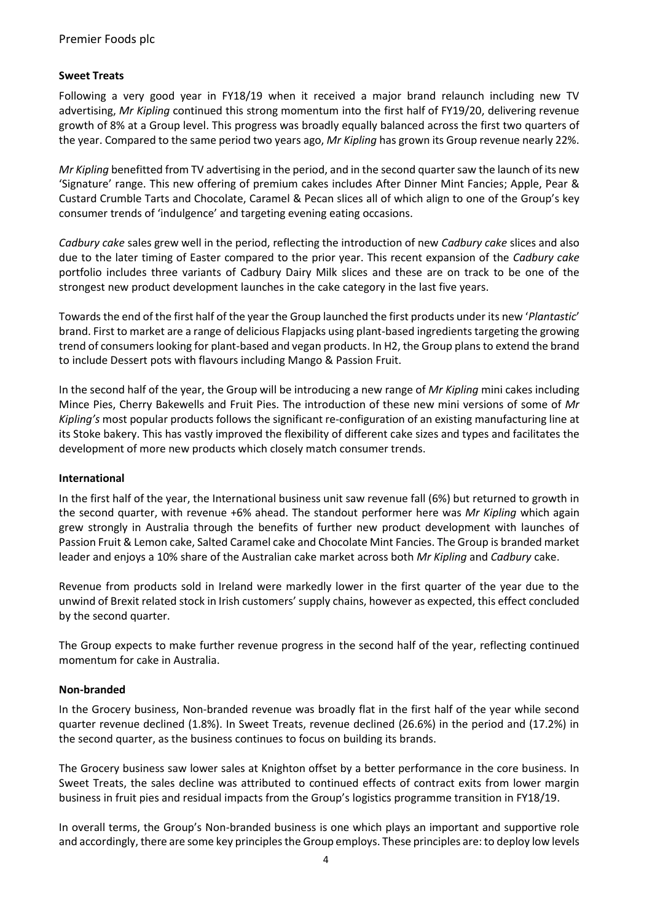### **Sweet Treats**

Following a very good year in FY18/19 when it received a major brand relaunch including new TV advertising, *Mr Kipling* continued this strong momentum into the first half of FY19/20, delivering revenue growth of 8% at a Group level. This progress was broadly equally balanced across the first two quarters of the year. Compared to the same period two years ago, *Mr Kipling* has grown its Group revenue nearly 22%.

*Mr Kipling* benefitted from TV advertising in the period, and in the second quarter saw the launch of its new 'Signature' range. This new offering of premium cakes includes After Dinner Mint Fancies; Apple, Pear & Custard Crumble Tarts and Chocolate, Caramel & Pecan slices all of which align to one of the Group's key consumer trends of 'indulgence' and targeting evening eating occasions.

*Cadbury cake* sales grew well in the period, reflecting the introduction of new *Cadbury cake* slices and also due to the later timing of Easter compared to the prior year. This recent expansion of the *Cadbury cake* portfolio includes three variants of Cadbury Dairy Milk slices and these are on track to be one of the strongest new product development launches in the cake category in the last five years.

Towards the end of the first half of the year the Group launched the first products under its new '*Plantastic*' brand. First to market are a range of delicious Flapjacks using plant-based ingredients targeting the growing trend of consumers looking for plant-based and vegan products. In H2, the Group plans to extend the brand to include Dessert pots with flavours including Mango & Passion Fruit.

In the second half of the year, the Group will be introducing a new range of *Mr Kipling* mini cakes including Mince Pies, Cherry Bakewells and Fruit Pies. The introduction of these new mini versions of some of *Mr Kipling's* most popular products follows the significant re-configuration of an existing manufacturing line at its Stoke bakery. This has vastly improved the flexibility of different cake sizes and types and facilitates the development of more new products which closely match consumer trends.

### **International**

In the first half of the year, the International business unit saw revenue fall (6%) but returned to growth in the second quarter, with revenue +6% ahead. The standout performer here was *Mr Kipling* which again grew strongly in Australia through the benefits of further new product development with launches of Passion Fruit & Lemon cake, Salted Caramel cake and Chocolate Mint Fancies. The Group is branded market leader and enjoys a 10% share of the Australian cake market across both *Mr Kipling* and *Cadbury* cake.

Revenue from products sold in Ireland were markedly lower in the first quarter of the year due to the unwind of Brexit related stock in Irish customers' supply chains, however as expected, this effect concluded by the second quarter.

The Group expects to make further revenue progress in the second half of the year, reflecting continued momentum for cake in Australia.

### **Non-branded**

In the Grocery business, Non-branded revenue was broadly flat in the first half of the year while second quarter revenue declined (1.8%). In Sweet Treats, revenue declined (26.6%) in the period and (17.2%) in the second quarter, as the business continues to focus on building its brands.

The Grocery business saw lower sales at Knighton offset by a better performance in the core business. In Sweet Treats, the sales decline was attributed to continued effects of contract exits from lower margin business in fruit pies and residual impacts from the Group's logistics programme transition in FY18/19.

In overall terms, the Group's Non-branded business is one which plays an important and supportive role and accordingly, there are some key principles the Group employs. These principles are: to deploy low levels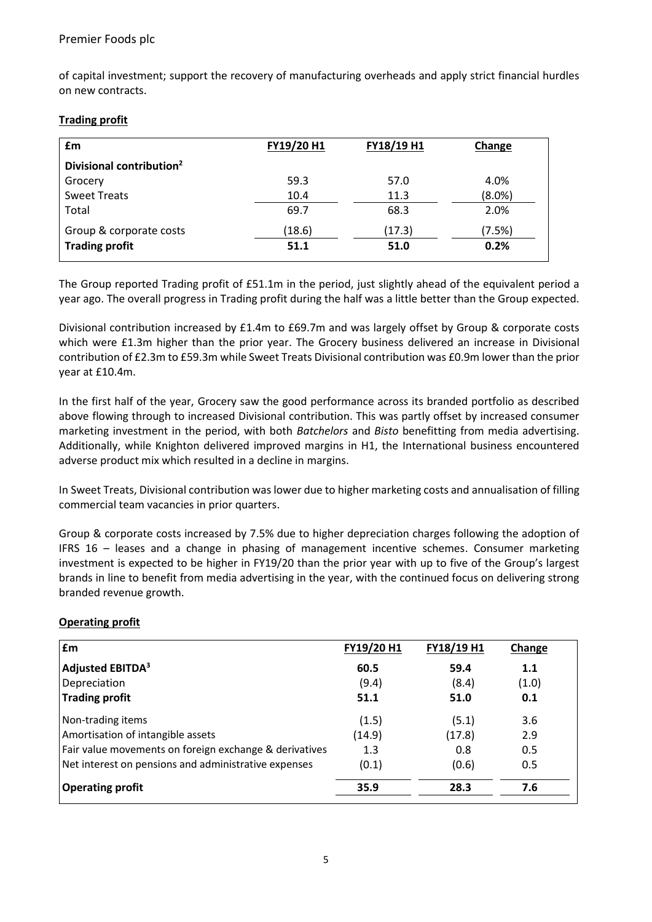of capital investment; support the recovery of manufacturing overheads and apply strict financial hurdles on new contracts.

# **Trading profit**

| £m                                   | FY19/20 H1 | FY18/19 H1 | Change    |
|--------------------------------------|------------|------------|-----------|
| Divisional contribution <sup>2</sup> |            |            |           |
| Grocery                              | 59.3       | 57.0       | 4.0%      |
| <b>Sweet Treats</b>                  | 10.4       | 11.3       | $(8.0\%)$ |
| Total                                | 69.7       | 68.3       | 2.0%      |
| Group & corporate costs              | (18.6)     | (17.3)     | (7.5%)    |
| <b>Trading profit</b>                | 51.1       | 51.0       | 0.2%      |

The Group reported Trading profit of £51.1m in the period, just slightly ahead of the equivalent period a year ago. The overall progress in Trading profit during the half was a little better than the Group expected.

Divisional contribution increased by £1.4m to £69.7m and was largely offset by Group & corporate costs which were £1.3m higher than the prior year. The Grocery business delivered an increase in Divisional contribution of £2.3m to £59.3m while Sweet Treats Divisional contribution was £0.9m lower than the prior year at £10.4m.

In the first half of the year, Grocery saw the good performance across its branded portfolio as described above flowing through to increased Divisional contribution. This was partly offset by increased consumer marketing investment in the period, with both *Batchelors* and *Bisto* benefitting from media advertising. Additionally, while Knighton delivered improved margins in H1, the International business encountered adverse product mix which resulted in a decline in margins.

In Sweet Treats, Divisional contribution was lower due to higher marketing costs and annualisation of filling commercial team vacancies in prior quarters.

Group & corporate costs increased by 7.5% due to higher depreciation charges following the adoption of IFRS 16 – leases and a change in phasing of management incentive schemes. Consumer marketing investment is expected to be higher in FY19/20 than the prior year with up to five of the Group's largest brands in line to benefit from media advertising in the year, with the continued focus on delivering strong branded revenue growth.

| £m                                                     | FY19/20 H1 | FY18/19 H1 | Change |  |
|--------------------------------------------------------|------------|------------|--------|--|
| Adjusted EBITDA <sup>3</sup>                           | 60.5       | 59.4       | 1.1    |  |
| Depreciation                                           | (9.4)      | (8.4)      | (1.0)  |  |
| <b>Trading profit</b>                                  | 51.1       | 51.0       | 0.1    |  |
| Non-trading items                                      | (1.5)      | (5.1)      | 3.6    |  |
| Amortisation of intangible assets                      | (14.9)     | (17.8)     | 2.9    |  |
| Fair value movements on foreign exchange & derivatives | 1.3        | 0.8        | 0.5    |  |
| Net interest on pensions and administrative expenses   | (0.1)      | (0.6)      | 0.5    |  |
| <b>Operating profit</b>                                | 35.9       | 28.3       | 7.6    |  |

# **Operating profit**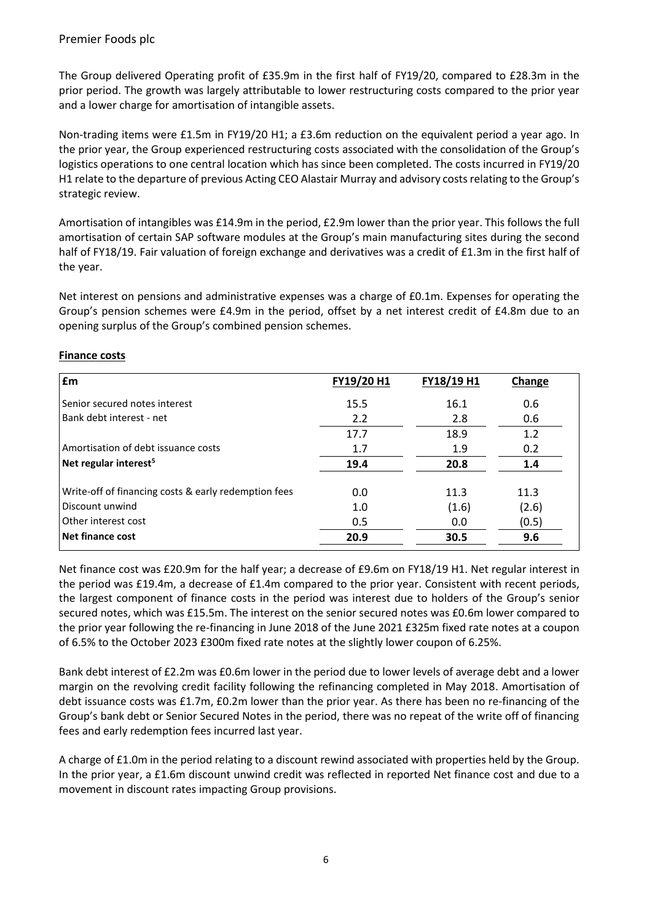The Group delivered Operating profit of £35.9m in the first half of FY19/20, compared to £28.3m in the prior period. The growth was largely attributable to lower restructuring costs compared to the prior year and a lower charge for amortisation of intangible assets.

Non-trading items were £1.5m in FY19/20 H1; a £3.6m reduction on the equivalent period a year ago. In the prior year, the Group experienced restructuring costs associated with the consolidation of the Group's logistics operations to one central location which has since been completed. The costs incurred in FY19/20 H1 relate to the departure of previous Acting CEO Alastair Murray and advisory costs relating to the Group's strategic review.

Amortisation of intangibles was £14.9m in the period, £2.9m lower than the prior year. This follows the full amortisation of certain SAP software modules at the Group's main manufacturing sites during the second half of FY18/19. Fair valuation of foreign exchange and derivatives was a credit of £1.3m in the first half of the year.

Net interest on pensions and administrative expenses was a charge of £0.1m. Expenses for operating the Group's pension schemes were £4.9m in the period, offset by a net interest credit of £4.8m due to an opening surplus of the Group's combined pension schemes.

| £m                                                   | FY19/20 H1 | FY18/19 H1 | Change |
|------------------------------------------------------|------------|------------|--------|
| Senior secured notes interest                        | 15.5       | 16.1       | 0.6    |
| Bank debt interest - net                             | 2.2        | 2.8        | 0.6    |
|                                                      | 17.7       | 18.9       | 1.2    |
| Amortisation of debt issuance costs                  | 1.7        | 1.9        | 0.2    |
| Net regular interest <sup>5</sup>                    | 19.4       | 20.8       | 1.4    |
| Write-off of financing costs & early redemption fees | 0.0        | 11.3       | 11.3   |
| Discount unwind                                      | 1.0        | (1.6)      | (2.6)  |
| Other interest cost                                  | 0.5        | 0.0        | (0.5)  |
| <b>Net finance cost</b>                              | 20.9       | 30.5       | 9.6    |

# **Finance costs**

Net finance cost was £20.9m for the half year; a decrease of £9.6m on FY18/19 H1. Net regular interest in the period was £19.4m, a decrease of £1.4m compared to the prior year. Consistent with recent periods, the largest component of finance costs in the period was interest due to holders of the Group's senior secured notes, which was £15.5m. The interest on the senior secured notes was £0.6m lower compared to the prior year following the re-financing in June 2018 of the June 2021 £325m fixed rate notes at a coupon of 6.5% to the October 2023 £300m fixed rate notes at the slightly lower coupon of 6.25%.

Bank debt interest of £2.2m was £0.6m lower in the period due to lower levels of average debt and a lower margin on the revolving credit facility following the refinancing completed in May 2018. Amortisation of debt issuance costs was £1.7m, £0.2m lower than the prior year. As there has been no re-financing of the Group's bank debt or Senior Secured Notes in the period, there was no repeat of the write off of financing fees and early redemption fees incurred last year.

A charge of £1.0m in the period relating to a discount rewind associated with properties held by the Group. In the prior year, a £1.6m discount unwind credit was reflected in reported Net finance cost and due to a movement in discount rates impacting Group provisions.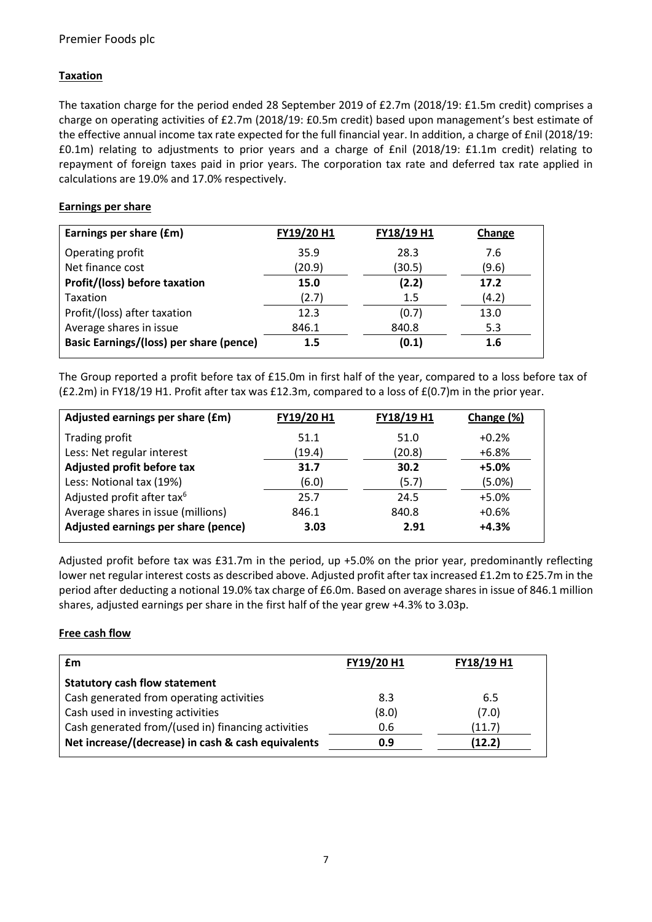# **Taxation**

The taxation charge for the period ended 28 September 2019 of £2.7m (2018/19: £1.5m credit) comprises a charge on operating activities of £2.7m (2018/19: £0.5m credit) based upon management's best estimate of the effective annual income tax rate expected for the full financial year. In addition, a charge of £nil (2018/19: £0.1m) relating to adjustments to prior years and a charge of £nil (2018/19: £1.1m credit) relating to repayment of foreign taxes paid in prior years. The corporation tax rate and deferred tax rate applied in calculations are 19.0% and 17.0% respectively.

### **Earnings per share**

| Earnings per share (£m)                 | FY19/20 H1 | FY18/19 H1 | Change |
|-----------------------------------------|------------|------------|--------|
| Operating profit                        | 35.9       | 28.3       | 7.6    |
| Net finance cost                        | (20.9)     | (30.5)     | (9.6)  |
| Profit/(loss) before taxation           | 15.0       | (2.2)      | 17.2   |
| Taxation                                | (2.7)      | 1.5        | (4.2)  |
| Profit/(loss) after taxation            | 12.3       | (0.7)      | 13.0   |
| Average shares in issue                 | 846.1      | 840.8      | 5.3    |
| Basic Earnings/(loss) per share (pence) | 1.5        | (0.1)      | 1.6    |

The Group reported a profit before tax of £15.0m in first half of the year, compared to a loss before tax of (£2.2m) in FY18/19 H1. Profit after tax was £12.3m, compared to a loss of £(0.7)m in the prior year.

| Adjusted earnings per share (£m)       | FY19/20 H1 | FY18/19 H1 | Change (%) |
|----------------------------------------|------------|------------|------------|
| Trading profit                         | 51.1       | 51.0       | $+0.2%$    |
| Less: Net regular interest             | (19.4)     | (20.8)     | $+6.8%$    |
| Adjusted profit before tax             | 31.7       | 30.2       | $+5.0%$    |
| Less: Notional tax (19%)               | (6.0)      | (5.7)      | $(5.0\%)$  |
| Adjusted profit after tax <sup>6</sup> | 25.7       | 24.5       | $+5.0%$    |
| Average shares in issue (millions)     | 846.1      | 840.8      | $+0.6%$    |
| Adjusted earnings per share (pence)    | 3.03       | 2.91       | $+4.3%$    |

Adjusted profit before tax was £31.7m in the period, up +5.0% on the prior year, predominantly reflecting lower net regular interest costs as described above. Adjusted profit after tax increased £1.2m to £25.7m in the period after deducting a notional 19.0% tax charge of £6.0m. Based on average shares in issue of 846.1 million shares, adjusted earnings per share in the first half of the year grew +4.3% to 3.03p.

# **Free cash flow**

| £m                                                 | FY19/20 H1 | FY18/19 H1 |
|----------------------------------------------------|------------|------------|
| <b>Statutory cash flow statement</b>               |            |            |
| Cash generated from operating activities           | 8.3        | 6.5        |
| Cash used in investing activities                  | (8.0)      | (7.0)      |
| Cash generated from/(used in) financing activities | 0.6        | (11.7)     |
| Net increase/(decrease) in cash & cash equivalents | 0.9        | (12.2)     |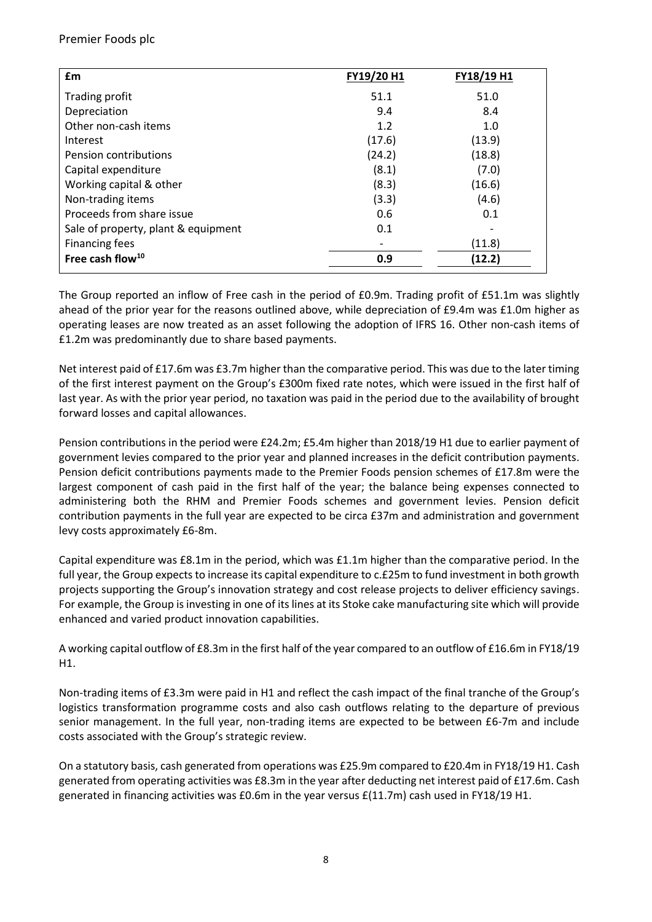# Premier Foods plc

| £m                                  | FY19/20 H1 | FY18/19 H1 |
|-------------------------------------|------------|------------|
| Trading profit                      | 51.1       | 51.0       |
| Depreciation                        | 9.4        | 8.4        |
| Other non-cash items                | 1.2        | 1.0        |
| Interest                            | (17.6)     | (13.9)     |
| Pension contributions               | (24.2)     | (18.8)     |
| Capital expenditure                 | (8.1)      | (7.0)      |
| Working capital & other             | (8.3)      | (16.6)     |
| Non-trading items                   | (3.3)      | (4.6)      |
| Proceeds from share issue           | 0.6        | 0.1        |
| Sale of property, plant & equipment | 0.1        |            |
| <b>Financing fees</b>               |            | (11.8)     |
| Free cash flow $10$                 | 0.9        | (12.2)     |

The Group reported an inflow of Free cash in the period of £0.9m. Trading profit of £51.1m was slightly ahead of the prior year for the reasons outlined above, while depreciation of £9.4m was £1.0m higher as operating leases are now treated as an asset following the adoption of IFRS 16. Other non-cash items of £1.2m was predominantly due to share based payments.

Net interest paid of £17.6m was £3.7m higher than the comparative period. This was due to the later timing of the first interest payment on the Group's £300m fixed rate notes, which were issued in the first half of last year. As with the prior year period, no taxation was paid in the period due to the availability of brought forward losses and capital allowances.

Pension contributions in the period were £24.2m; £5.4m higher than 2018/19 H1 due to earlier payment of government levies compared to the prior year and planned increases in the deficit contribution payments. Pension deficit contributions payments made to the Premier Foods pension schemes of £17.8m were the largest component of cash paid in the first half of the year; the balance being expenses connected to administering both the RHM and Premier Foods schemes and government levies. Pension deficit contribution payments in the full year are expected to be circa £37m and administration and government levy costs approximately £6-8m.

Capital expenditure was £8.1m in the period, which was £1.1m higher than the comparative period. In the full year, the Group expects to increase its capital expenditure to c.£25m to fund investment in both growth projects supporting the Group's innovation strategy and cost release projects to deliver efficiency savings. For example, the Group is investing in one of its lines at its Stoke cake manufacturing site which will provide enhanced and varied product innovation capabilities.

A working capital outflow of £8.3m in the first half of the year compared to an outflow of £16.6m in FY18/19 H1.

Non-trading items of £3.3m were paid in H1 and reflect the cash impact of the final tranche of the Group's logistics transformation programme costs and also cash outflows relating to the departure of previous senior management. In the full year, non-trading items are expected to be between £6-7m and include costs associated with the Group's strategic review.

On a statutory basis, cash generated from operations was £25.9m compared to £20.4m in FY18/19 H1. Cash generated from operating activities was £8.3m in the year after deducting net interest paid of £17.6m. Cash generated in financing activities was £0.6m in the year versus £(11.7m) cash used in FY18/19 H1.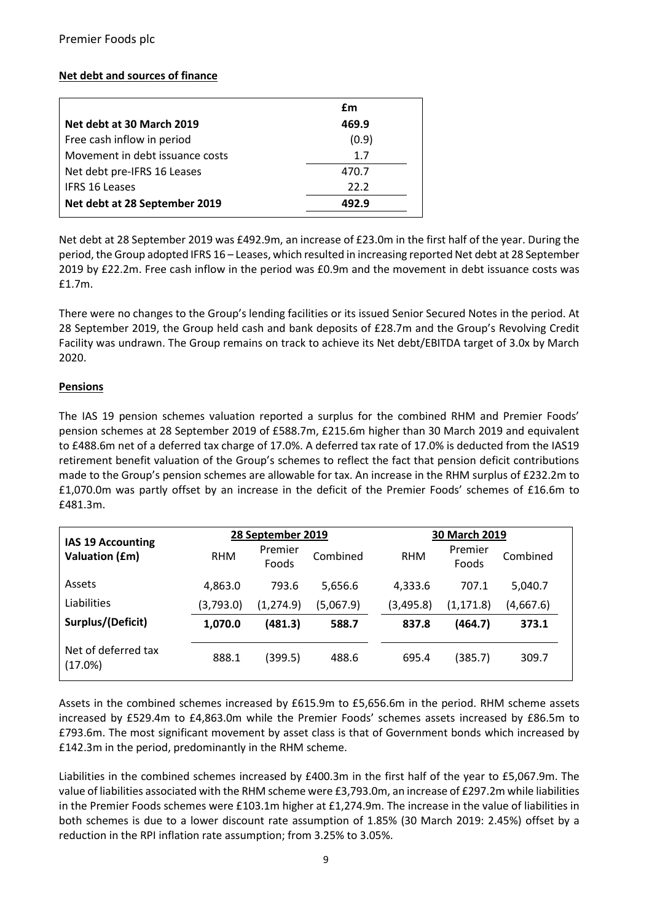# **Net debt and sources of finance**

|                                 | £m    |
|---------------------------------|-------|
| Net debt at 30 March 2019       | 469.9 |
| Free cash inflow in period      | (0.9) |
| Movement in debt issuance costs | 1.7   |
| Net debt pre-IFRS 16 Leases     | 470.7 |
| <b>IFRS 16 Leases</b>           | 22.2  |
| Net debt at 28 September 2019   | 492.9 |
|                                 |       |

Net debt at 28 September 2019 was £492.9m, an increase of £23.0m in the first half of the year. During the period, the Group adopted IFRS 16 – Leases, which resulted in increasing reported Net debt at 28 September 2019 by £22.2m. Free cash inflow in the period was £0.9m and the movement in debt issuance costs was £1.7m.

There were no changes to the Group's lending facilities or its issued Senior Secured Notes in the period. At 28 September 2019, the Group held cash and bank deposits of £28.7m and the Group's Revolving Credit Facility was undrawn. The Group remains on track to achieve its Net debt/EBITDA target of 3.0x by March 2020.

# **Pensions**

The IAS 19 pension schemes valuation reported a surplus for the combined RHM and Premier Foods' pension schemes at 28 September 2019 of £588.7m, £215.6m higher than 30 March 2019 and equivalent to £488.6m net of a deferred tax charge of 17.0%. A deferred tax rate of 17.0% is deducted from the IAS19 retirement benefit valuation of the Group's schemes to reflect the fact that pension deficit contributions made to the Group's pension schemes are allowable for tax. An increase in the RHM surplus of £232.2m to £1,070.0m was partly offset by an increase in the deficit of the Premier Foods' schemes of £16.6m to £481.3m.

|                                                   | 28 September 2019                          |            |           |            | 30 March 2019    |            |           |  |
|---------------------------------------------------|--------------------------------------------|------------|-----------|------------|------------------|------------|-----------|--|
| <b>IAS 19 Accounting</b><br><b>Valuation (£m)</b> | Premier<br>Combined<br><b>RHM</b><br>Foods |            |           | <b>RHM</b> | Premier<br>Foods | Combined   |           |  |
| Assets                                            | 4,863.0                                    | 793.6      | 5,656.6   |            | 4,333.6          | 707.1      | 5,040.7   |  |
| Liabilities                                       | (3,793.0)                                  | (1, 274.9) | (5,067.9) |            | (3,495.8)        | (1, 171.8) | (4,667.6) |  |
| Surplus/(Deficit)                                 | 1,070.0                                    | (481.3)    | 588.7     |            | 837.8            | (464.7)    | 373.1     |  |
| Net of deferred tax<br>(17.0%)                    | 888.1                                      | (399.5)    | 488.6     |            | 695.4            | (385.7)    | 309.7     |  |

Assets in the combined schemes increased by £615.9m to £5,656.6m in the period. RHM scheme assets increased by £529.4m to £4,863.0m while the Premier Foods' schemes assets increased by £86.5m to £793.6m. The most significant movement by asset class is that of Government bonds which increased by £142.3m in the period, predominantly in the RHM scheme.

Liabilities in the combined schemes increased by £400.3m in the first half of the year to £5,067.9m. The value of liabilities associated with the RHM scheme were £3,793.0m, an increase of £297.2m while liabilities in the Premier Foods schemes were £103.1m higher at £1,274.9m. The increase in the value of liabilities in both schemes is due to a lower discount rate assumption of 1.85% (30 March 2019: 2.45%) offset by a reduction in the RPI inflation rate assumption; from 3.25% to 3.05%.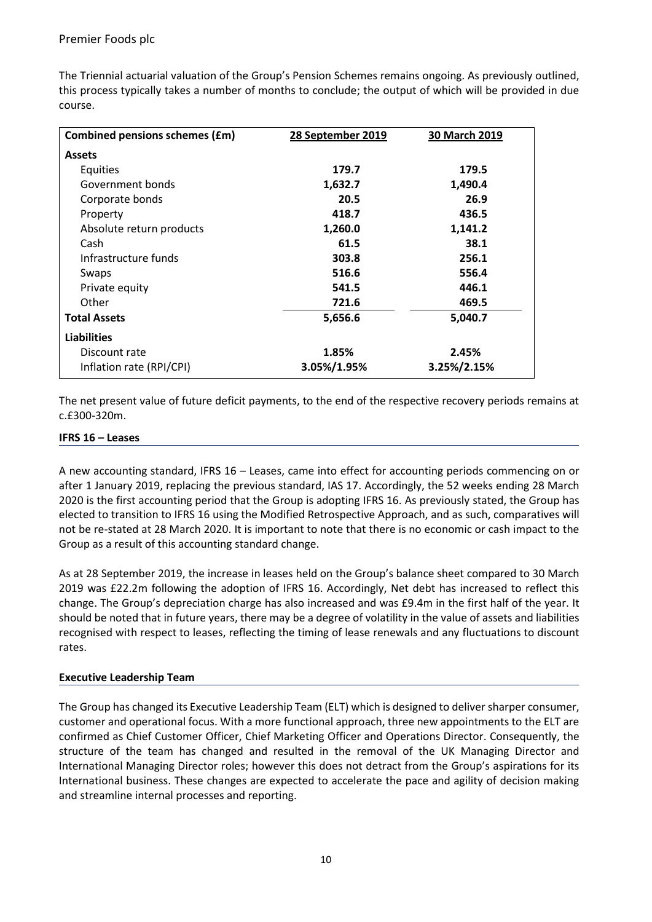The Triennial actuarial valuation of the Group's Pension Schemes remains ongoing. As previously outlined, this process typically takes a number of months to conclude; the output of which will be provided in due course.

| <b>Combined pensions schemes (£m)</b> | 28 September 2019 | 30 March 2019 |
|---------------------------------------|-------------------|---------------|
| <b>Assets</b>                         |                   |               |
| Equities                              | 179.7             | 179.5         |
| Government bonds                      | 1,632.7           | 1,490.4       |
| Corporate bonds                       | 20.5              | 26.9          |
| Property                              | 418.7             | 436.5         |
| Absolute return products              | 1,260.0           | 1,141.2       |
| Cash                                  | 61.5              | 38.1          |
| Infrastructure funds                  | 303.8             | 256.1         |
| Swaps                                 | 516.6             | 556.4         |
| Private equity                        | 541.5             | 446.1         |
| Other                                 | 721.6             | 469.5         |
| <b>Total Assets</b>                   | 5,656.6           | 5,040.7       |
| <b>Liabilities</b>                    |                   |               |
| Discount rate                         | 1.85%             | 2.45%         |
| Inflation rate (RPI/CPI)              | 3.05%/1.95%       | 3.25%/2.15%   |

The net present value of future deficit payments, to the end of the respective recovery periods remains at c.£300-320m.

### **IFRS 16 – Leases**

A new accounting standard, IFRS 16 – Leases, came into effect for accounting periods commencing on or after 1 January 2019, replacing the previous standard, IAS 17. Accordingly, the 52 weeks ending 28 March 2020 is the first accounting period that the Group is adopting IFRS 16. As previously stated, the Group has elected to transition to IFRS 16 using the Modified Retrospective Approach, and as such, comparatives will not be re-stated at 28 March 2020. It is important to note that there is no economic or cash impact to the Group as a result of this accounting standard change.

As at 28 September 2019, the increase in leases held on the Group's balance sheet compared to 30 March 2019 was £22.2m following the adoption of IFRS 16. Accordingly, Net debt has increased to reflect this change. The Group's depreciation charge has also increased and was £9.4m in the first half of the year. It should be noted that in future years, there may be a degree of volatility in the value of assets and liabilities recognised with respect to leases, reflecting the timing of lease renewals and any fluctuations to discount rates.

# **Executive Leadership Team**

The Group has changed its Executive Leadership Team (ELT) which is designed to deliver sharper consumer, customer and operational focus. With a more functional approach, three new appointments to the ELT are confirmed as Chief Customer Officer, Chief Marketing Officer and Operations Director. Consequently, the structure of the team has changed and resulted in the removal of the UK Managing Director and International Managing Director roles; however this does not detract from the Group's aspirations for its International business. These changes are expected to accelerate the pace and agility of decision making and streamline internal processes and reporting.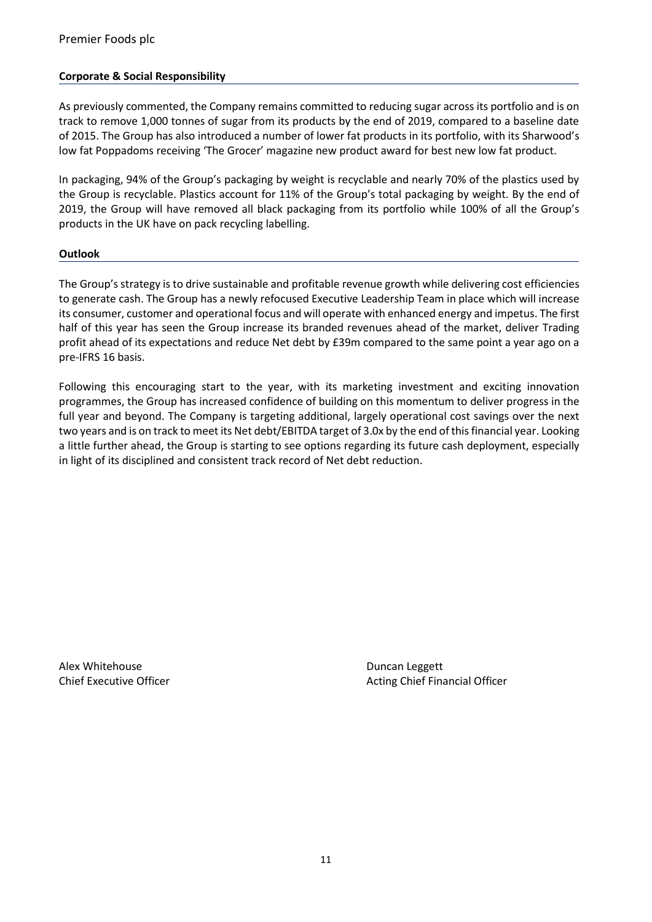# **Corporate & Social Responsibility**

As previously commented, the Company remains committed to reducing sugar across its portfolio and is on track to remove 1,000 tonnes of sugar from its products by the end of 2019, compared to a baseline date of 2015. The Group has also introduced a number of lower fat products in its portfolio, with its Sharwood's low fat Poppadoms receiving 'The Grocer' magazine new product award for best new low fat product.

In packaging, 94% of the Group's packaging by weight is recyclable and nearly 70% of the plastics used by the Group is recyclable. Plastics account for 11% of the Group's total packaging by weight. By the end of 2019, the Group will have removed all black packaging from its portfolio while 100% of all the Group's products in the UK have on pack recycling labelling.

### **Outlook**

The Group's strategy is to drive sustainable and profitable revenue growth while delivering cost efficiencies to generate cash. The Group has a newly refocused Executive Leadership Team in place which will increase its consumer, customer and operational focus and will operate with enhanced energy and impetus. The first half of this year has seen the Group increase its branded revenues ahead of the market, deliver Trading profit ahead of its expectations and reduce Net debt by £39m compared to the same point a year ago on a pre-IFRS 16 basis.

Following this encouraging start to the year, with its marketing investment and exciting innovation programmes, the Group has increased confidence of building on this momentum to deliver progress in the full year and beyond. The Company is targeting additional, largely operational cost savings over the next two years and is on track to meet its Net debt/EBITDA target of 3.0x by the end of this financial year. Looking a little further ahead, the Group is starting to see options regarding its future cash deployment, especially in light of its disciplined and consistent track record of Net debt reduction.

Alex Whitehouse **Duncan Leggett Duncan Leggett** 

Chief Executive Officer **Acting Chief Executive Officer** Acting Chief Financial Officer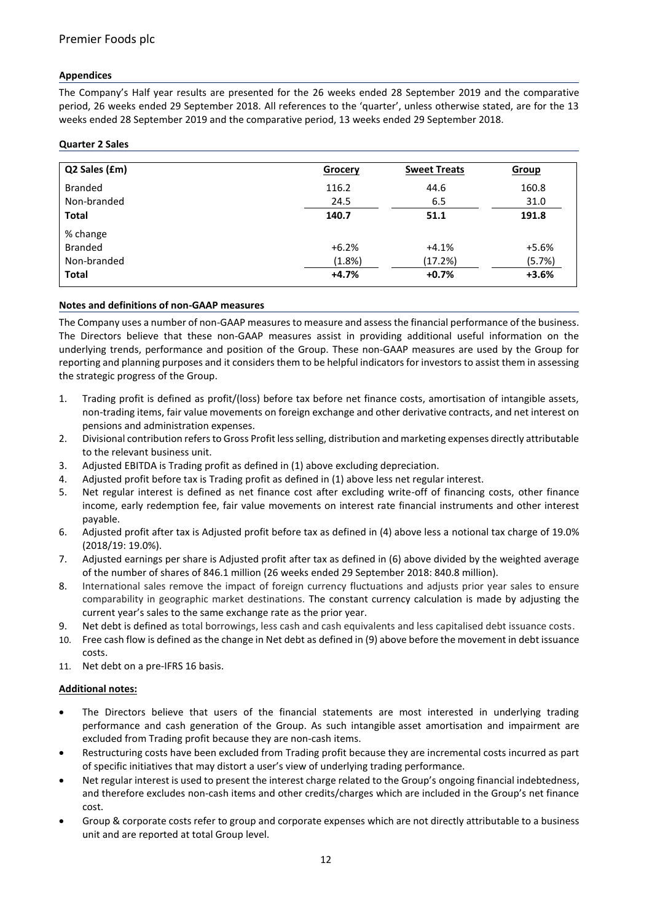### **Appendices**

The Company's Half year results are presented for the 26 weeks ended 28 September 2019 and the comparative period, 26 weeks ended 29 September 2018. All references to the 'quarter', unless otherwise stated, are for the 13 weeks ended 28 September 2019 and the comparative period, 13 weeks ended 29 September 2018.

#### **Quarter 2 Sales**

| Q2 Sales (£m)  | Grocery | <b>Sweet Treats</b> | <b>Group</b> |
|----------------|---------|---------------------|--------------|
| <b>Branded</b> | 116.2   | 44.6                | 160.8        |
| Non-branded    | 24.5    | 6.5                 | 31.0         |
| <b>Total</b>   | 140.7   | 51.1                | 191.8        |
| % change       |         |                     |              |
| <b>Branded</b> | $+6.2%$ | $+4.1%$             | $+5.6%$      |
| Non-branded    | (1.8%)  | (17.2%)             | (5.7%)       |
| <b>Total</b>   | $+4.7%$ | $+0.7%$             | $+3.6%$      |

#### **Notes and definitions of non-GAAP measures**

The Company uses a number of non-GAAP measures to measure and assess the financial performance of the business. The Directors believe that these non-GAAP measures assist in providing additional useful information on the underlying trends, performance and position of the Group. These non-GAAP measures are used by the Group for reporting and planning purposes and it considers them to be helpful indicators for investors to assist them in assessing the strategic progress of the Group.

- 1. Trading profit is defined as profit/(loss) before tax before net finance costs, amortisation of intangible assets, non-trading items, fair value movements on foreign exchange and other derivative contracts, and net interest on pensions and administration expenses.
- 2. Divisional contribution refers to Gross Profit less selling, distribution and marketing expenses directly attributable to the relevant business unit.
- 3. Adjusted EBITDA is Trading profit as defined in (1) above excluding depreciation.
- 4. Adjusted profit before tax is Trading profit as defined in (1) above less net regular interest.
- 5. Net regular interest is defined as net finance cost after excluding write-off of financing costs, other finance income, early redemption fee, fair value movements on interest rate financial instruments and other interest payable.
- 6. Adjusted profit after tax is Adjusted profit before tax as defined in (4) above less a notional tax charge of 19.0% (2018/19: 19.0%).
- 7. Adjusted earnings per share is Adjusted profit after tax as defined in (6) above divided by the weighted average of the number of shares of 846.1 million (26 weeks ended 29 September 2018: 840.8 million).
- 8. International sales remove the impact of foreign currency fluctuations and adjusts prior year sales to ensure comparability in geographic market destinations. The constant currency calculation is made by adjusting the current year's sales to the same exchange rate as the prior year.
- 9. Net debt is defined as total borrowings, less cash and cash equivalents and less capitalised debt issuance costs.
- 10. Free cash flow is defined as the change in Net debt as defined in (9) above before the movement in debt issuance costs.
- 11. Net debt on a pre-IFRS 16 basis.

#### **Additional notes:**

- The Directors believe that users of the financial statements are most interested in underlying trading performance and cash generation of the Group. As such intangible asset amortisation and impairment are excluded from Trading profit because they are non-cash items.
- Restructuring costs have been excluded from Trading profit because they are incremental costs incurred as part of specific initiatives that may distort a user's view of underlying trading performance.
- Net regular interest is used to present the interest charge related to the Group's ongoing financial indebtedness, and therefore excludes non-cash items and other credits/charges which are included in the Group's net finance cost.
- Group & corporate costs refer to group and corporate expenses which are not directly attributable to a business unit and are reported at total Group level.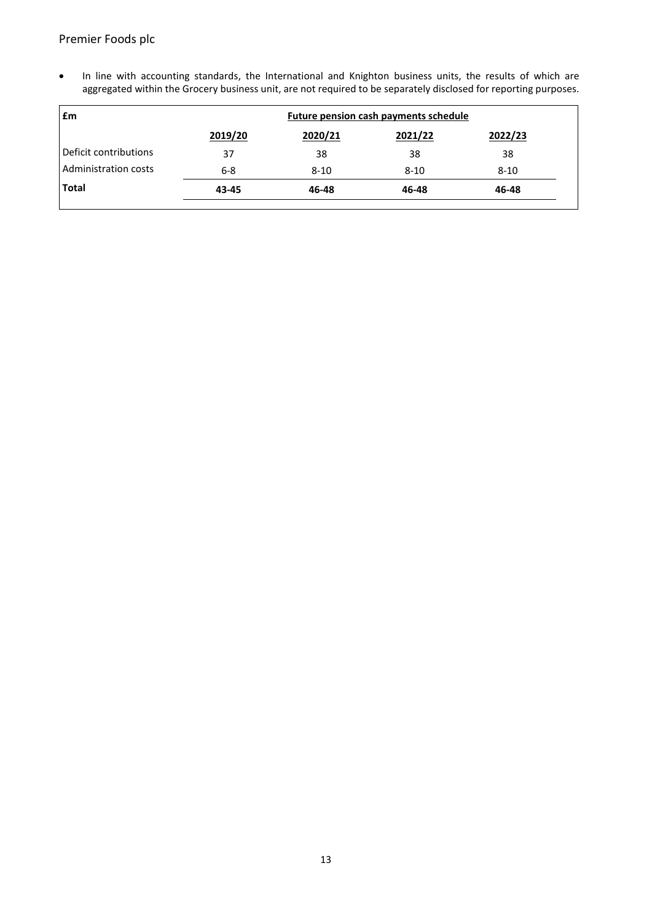# Premier Foods plc

• In line with accounting standards, the International and Knighton business units, the results of which are aggregated within the Grocery business unit, are not required to be separately disclosed for reporting purposes.

| £m                    | <b>Future pension cash payments schedule</b> |          |          |          |  |  |  |
|-----------------------|----------------------------------------------|----------|----------|----------|--|--|--|
|                       | 2019/20                                      | 2020/21  | 2021/22  | 2022/23  |  |  |  |
| Deficit contributions | 37                                           | 38       | 38       | 38       |  |  |  |
| Administration costs  | 6-8                                          | $8 - 10$ | $8 - 10$ | $8 - 10$ |  |  |  |
| <b>Total</b>          | 43-45                                        | 46-48    | 46-48    | 46-48    |  |  |  |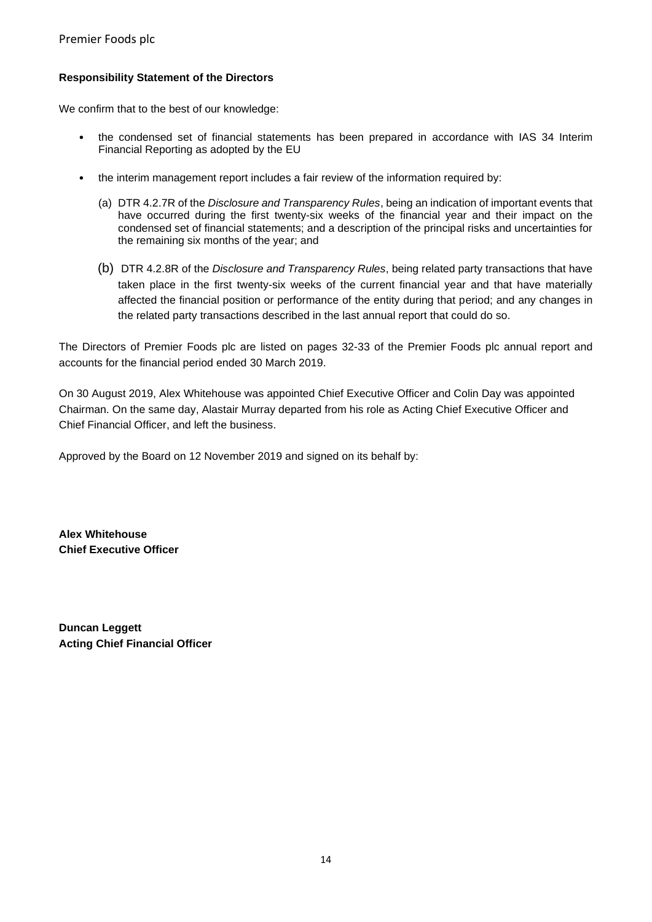# **Responsibility Statement of the Directors**

We confirm that to the best of our knowledge:

- the condensed set of financial statements has been prepared in accordance with IAS 34 Interim Financial Reporting as adopted by the EU
- the interim management report includes a fair review of the information required by:
	- (a) DTR 4.2.7R of the *Disclosure and Transparency Rules*, being an indication of important events that have occurred during the first twenty-six weeks of the financial year and their impact on the condensed set of financial statements; and a description of the principal risks and uncertainties for the remaining six months of the year; and
	- (b) DTR 4.2.8R of the *Disclosure and Transparency Rules*, being related party transactions that have taken place in the first twenty-six weeks of the current financial year and that have materially affected the financial position or performance of the entity during that period; and any changes in the related party transactions described in the last annual report that could do so.

The Directors of Premier Foods plc are listed on pages 32-33 of the Premier Foods plc annual report and accounts for the financial period ended 30 March 2019.

On 30 August 2019, Alex Whitehouse was appointed Chief Executive Officer and Colin Day was appointed Chairman. On the same day, Alastair Murray departed from his role as Acting Chief Executive Officer and Chief Financial Officer, and left the business.

Approved by the Board on 12 November 2019 and signed on its behalf by:

**Alex Whitehouse Chief Executive Officer**

**Duncan Leggett Acting Chief Financial Officer**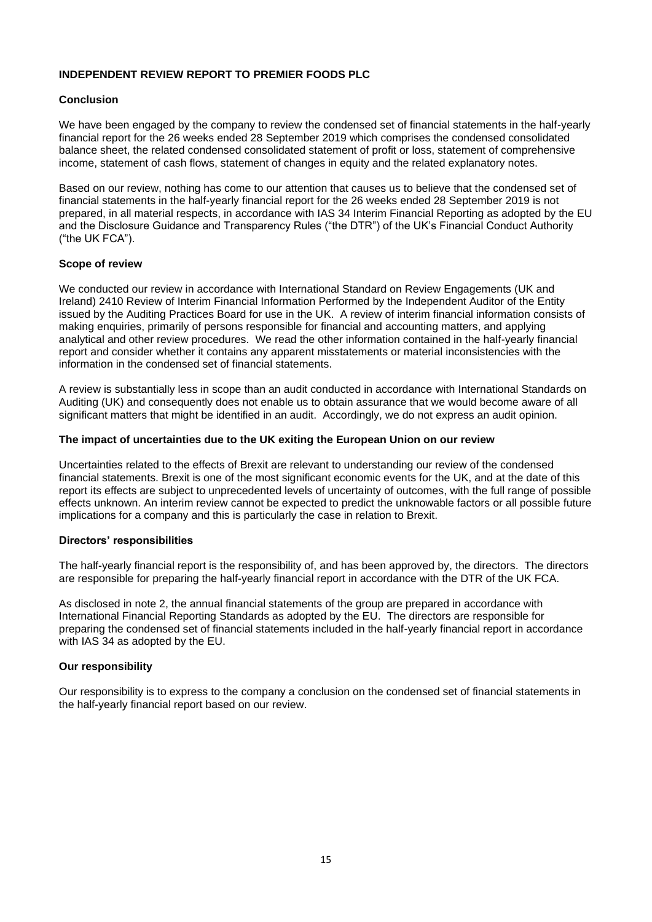### **INDEPENDENT REVIEW REPORT TO PREMIER FOODS PLC**

#### **Conclusion**

We have been engaged by the company to review the condensed set of financial statements in the half-yearly financial report for the 26 weeks ended 28 September 2019 which comprises the condensed consolidated balance sheet, the related condensed consolidated statement of profit or loss, statement of comprehensive income, statement of cash flows, statement of changes in equity and the related explanatory notes.

Based on our review, nothing has come to our attention that causes us to believe that the condensed set of financial statements in the half-yearly financial report for the 26 weeks ended 28 September 2019 is not prepared, in all material respects, in accordance with IAS 34 Interim Financial Reporting as adopted by the EU and the Disclosure Guidance and Transparency Rules ("the DTR") of the UK's Financial Conduct Authority ("the UK FCA").

#### **Scope of review**

We conducted our review in accordance with International Standard on Review Engagements (UK and Ireland) 2410 Review of Interim Financial Information Performed by the Independent Auditor of the Entity issued by the Auditing Practices Board for use in the UK. A review of interim financial information consists of making enquiries, primarily of persons responsible for financial and accounting matters, and applying analytical and other review procedures. We read the other information contained in the half-yearly financial report and consider whether it contains any apparent misstatements or material inconsistencies with the information in the condensed set of financial statements.

A review is substantially less in scope than an audit conducted in accordance with International Standards on Auditing (UK) and consequently does not enable us to obtain assurance that we would become aware of all significant matters that might be identified in an audit. Accordingly, we do not express an audit opinion.

#### **The impact of uncertainties due to the UK exiting the European Union on our review**

Uncertainties related to the effects of Brexit are relevant to understanding our review of the condensed financial statements. Brexit is one of the most significant economic events for the UK, and at the date of this report its effects are subject to unprecedented levels of uncertainty of outcomes, with the full range of possible effects unknown. An interim review cannot be expected to predict the unknowable factors or all possible future implications for a company and this is particularly the case in relation to Brexit.

#### **Directors' responsibilities**

The half-yearly financial report is the responsibility of, and has been approved by, the directors. The directors are responsible for preparing the half-yearly financial report in accordance with the DTR of the UK FCA.

As disclosed in note 2, the annual financial statements of the group are prepared in accordance with International Financial Reporting Standards as adopted by the EU. The directors are responsible for preparing the condensed set of financial statements included in the half-yearly financial report in accordance with IAS 34 as adopted by the EU.

#### **Our responsibility**

Our responsibility is to express to the company a conclusion on the condensed set of financial statements in the half-yearly financial report based on our review.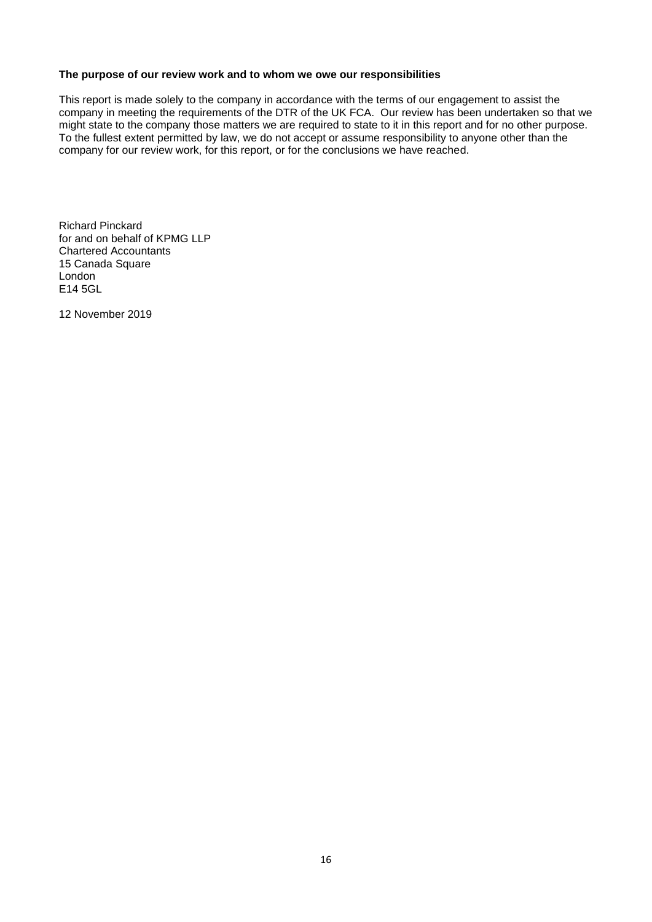#### **The purpose of our review work and to whom we owe our responsibilities**

This report is made solely to the company in accordance with the terms of our engagement to assist the company in meeting the requirements of the DTR of the UK FCA. Our review has been undertaken so that we might state to the company those matters we are required to state to it in this report and for no other purpose. To the fullest extent permitted by law, we do not accept or assume responsibility to anyone other than the company for our review work, for this report, or for the conclusions we have reached.

Richard Pinckard for and on behalf of KPMG LLP Chartered Accountants 15 Canada Square London E14 5GL

12 November 2019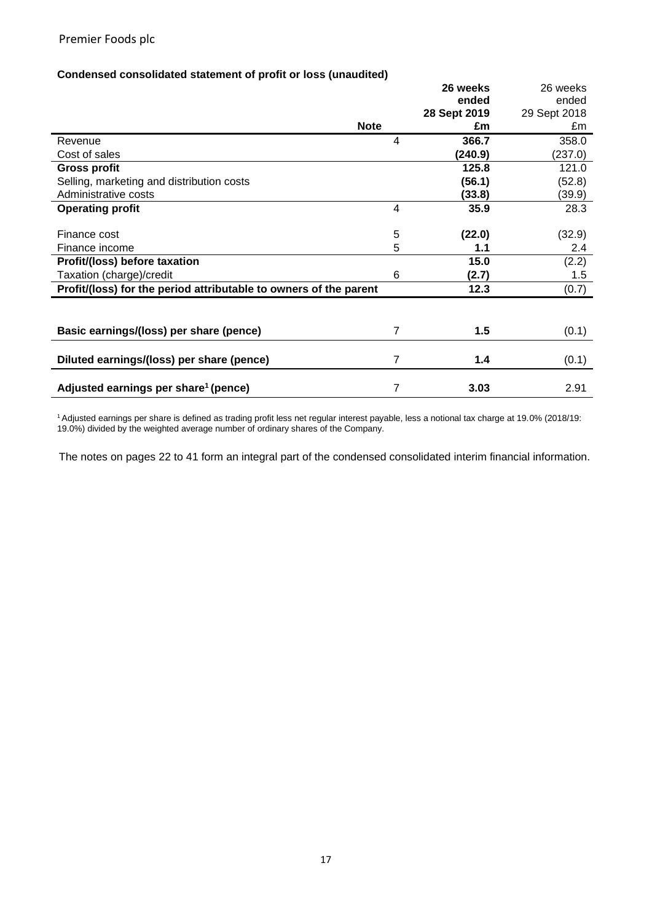# Premier Foods plc

### **Condensed consolidated statement of profit or loss (unaudited)**

|                                                                   |                | 26 weeks     | 26 weeks     |
|-------------------------------------------------------------------|----------------|--------------|--------------|
|                                                                   |                | ended        | ended        |
|                                                                   |                | 28 Sept 2019 | 29 Sept 2018 |
|                                                                   | <b>Note</b>    | £m           | £m           |
| Revenue                                                           | 4              | 366.7        | 358.0        |
| Cost of sales                                                     |                | (240.9)      | (237.0)      |
| <b>Gross profit</b>                                               |                | 125.8        | 121.0        |
| Selling, marketing and distribution costs                         |                | (56.1)       | (52.8)       |
| Administrative costs                                              |                | (33.8)       | (39.9)       |
| <b>Operating profit</b>                                           | 4              | 35.9         | 28.3         |
|                                                                   |                |              |              |
| Finance cost                                                      | 5              | (22.0)       | (32.9)       |
| Finance income                                                    | 5              | 1.1          | 2.4          |
| Profit/(loss) before taxation                                     |                | 15.0         | (2.2)        |
| Taxation (charge)/credit                                          | 6              | (2.7)        | 1.5          |
| Profit/(loss) for the period attributable to owners of the parent |                | 12.3         | (0.7)        |
|                                                                   |                |              |              |
|                                                                   |                |              |              |
| Basic earnings/(loss) per share (pence)                           | $\overline{7}$ | 1.5          | (0.1)        |
|                                                                   |                |              |              |
| Diluted earnings/(loss) per share (pence)                         | $\overline{7}$ | 1.4          | (0.1)        |
|                                                                   |                |              |              |
| Adjusted earnings per share <sup>1</sup> (pence)                  | 7              | 3.03         | 2.91         |

<sup>1</sup>Adjusted earnings per share is defined as trading profit less net regular interest payable, less a notional tax charge at 19.0% (2018/19: 19.0%) divided by the weighted average number of ordinary shares of the Company.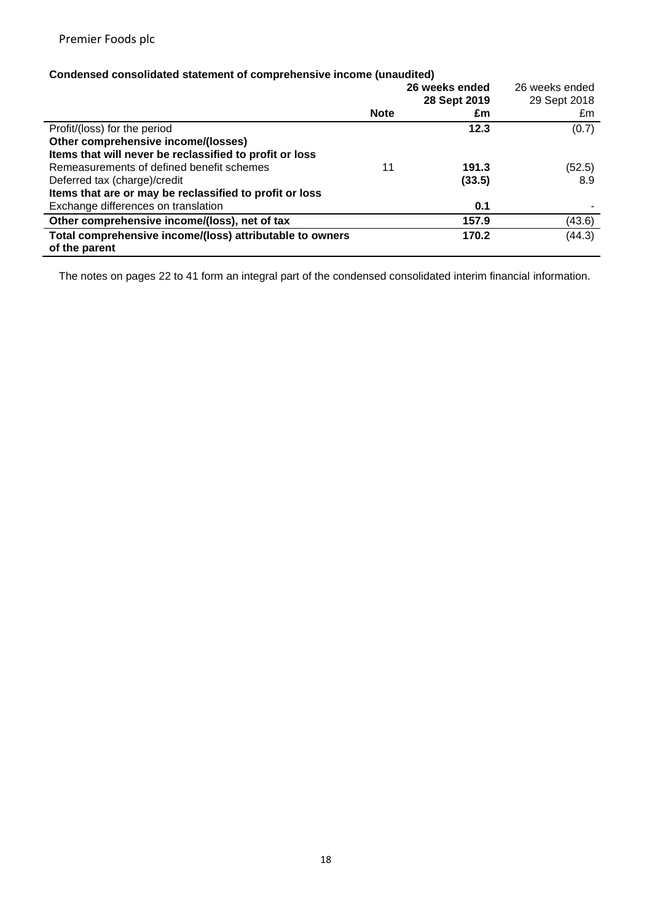| Condensed consolidated statement of comprehensive income (unaudited) |  |
|----------------------------------------------------------------------|--|
|                                                                      |  |

|                                                                           | <b>Note</b> | 26 weeks ended<br>28 Sept 2019<br>£m | 26 weeks ended<br>29 Sept 2018<br>£m |
|---------------------------------------------------------------------------|-------------|--------------------------------------|--------------------------------------|
| Profit/(loss) for the period                                              |             | 12.3                                 | (0.7)                                |
| Other comprehensive income/(losses)                                       |             |                                      |                                      |
| Items that will never be reclassified to profit or loss                   |             |                                      |                                      |
| Remeasurements of defined benefit schemes                                 | 11          | 191.3                                | (52.5)                               |
| Deferred tax (charge)/credit                                              |             | (33.5)                               | 8.9                                  |
| Items that are or may be reclassified to profit or loss                   |             |                                      |                                      |
| Exchange differences on translation                                       |             | 0.1                                  |                                      |
| Other comprehensive income/(loss), net of tax                             |             | 157.9                                | (43.6)                               |
| Total comprehensive income/(loss) attributable to owners<br>of the parent |             | 170.2                                | (44.3)                               |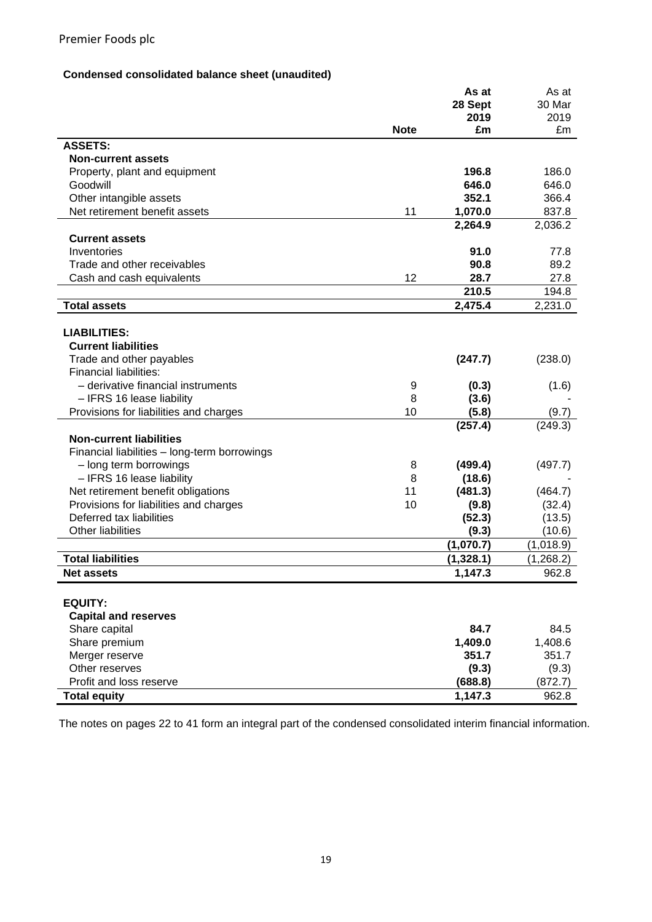# **Condensed consolidated balance sheet (unaudited)**

|                                              |             | As at      | As at      |
|----------------------------------------------|-------------|------------|------------|
|                                              |             | 28 Sept    | 30 Mar     |
|                                              |             | 2019       | 2019       |
|                                              | <b>Note</b> | £m         | £m         |
| <b>ASSETS:</b>                               |             |            |            |
| <b>Non-current assets</b>                    |             |            |            |
| Property, plant and equipment                |             | 196.8      | 186.0      |
| Goodwill                                     |             | 646.0      | 646.0      |
| Other intangible assets                      |             | 352.1      | 366.4      |
| Net retirement benefit assets                | 11          | 1,070.0    | 837.8      |
|                                              |             | 2,264.9    | 2,036.2    |
| <b>Current assets</b>                        |             |            |            |
| Inventories                                  |             | 91.0       | 77.8       |
| Trade and other receivables                  |             | 90.8       | 89.2       |
| Cash and cash equivalents                    | 12          | 28.7       | 27.8       |
|                                              |             | 210.5      | 194.8      |
| <b>Total assets</b>                          |             | 2,475.4    | 2,231.0    |
|                                              |             |            |            |
| <b>LIABILITIES:</b>                          |             |            |            |
| <b>Current liabilities</b>                   |             |            |            |
| Trade and other payables                     |             | (247.7)    | (238.0)    |
| Financial liabilities:                       |             |            |            |
| - derivative financial instruments           | 9           | (0.3)      | (1.6)      |
| - IFRS 16 lease liability                    | 8           | (3.6)      |            |
| Provisions for liabilities and charges       | 10          | (5.8)      | (9.7)      |
|                                              |             | (257.4)    | (249.3)    |
| <b>Non-current liabilities</b>               |             |            |            |
| Financial liabilities - long-term borrowings |             |            |            |
| - long term borrowings                       | 8           | (499.4)    | (497.7)    |
| - IFRS 16 lease liability                    | 8           | (18.6)     |            |
| Net retirement benefit obligations           | 11          | (481.3)    | (464.7)    |
| Provisions for liabilities and charges       | 10          | (9.8)      | (32.4)     |
| Deferred tax liabilities                     |             | (52.3)     | (13.5)     |
| <b>Other liabilities</b>                     |             | (9.3)      | (10.6)     |
|                                              |             | (1,070.7)  | (1,018.9)  |
| <b>Total liabilities</b>                     |             | (1, 328.1) | (1, 268.2) |
| <b>Net assets</b>                            |             | 1,147.3    | 962.8      |
|                                              |             |            |            |
| <b>EQUITY:</b>                               |             |            |            |
| <b>Capital and reserves</b>                  |             |            |            |
| Share capital                                |             | 84.7       | 84.5       |
| Share premium                                |             | 1,409.0    | 1,408.6    |
| Merger reserve                               |             | 351.7      | 351.7      |
| Other reserves                               |             | (9.3)      | (9.3)      |
| Profit and loss reserve                      |             | (688.8)    | (872.7)    |
| <b>Total equity</b>                          |             | 1,147.3    | 962.8      |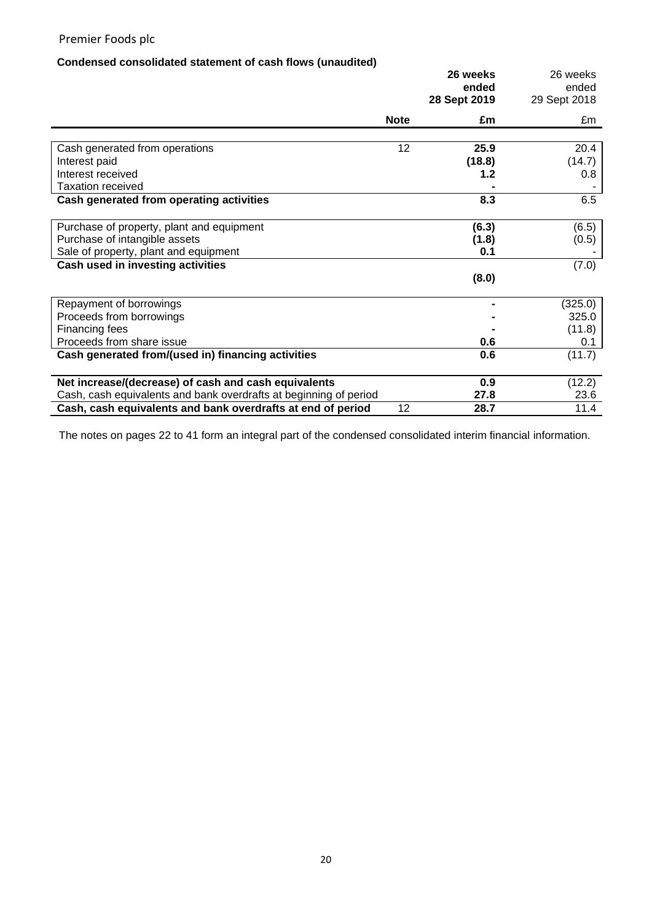# Premier Foods plc

# **Condensed consolidated statement of cash flows (unaudited)**

|                                                                   |             | 26 weeks<br>ended | 26 weeks<br>ended |
|-------------------------------------------------------------------|-------------|-------------------|-------------------|
|                                                                   |             | 28 Sept 2019      | 29 Sept 2018      |
|                                                                   | <b>Note</b> | £m                | £m                |
| Cash generated from operations                                    | 12          | 25.9              | 20.4              |
| Interest paid                                                     |             | (18.8)            | (14.7)            |
| Interest received                                                 |             | 1.2               | 0.8               |
| Taxation received                                                 |             |                   |                   |
| Cash generated from operating activities                          |             | 8.3               | 6.5               |
| Purchase of property, plant and equipment                         |             | (6.3)             | (6.5)             |
| Purchase of intangible assets                                     |             | (1.8)             | (0.5)             |
| Sale of property, plant and equipment                             |             | 0.1               |                   |
| Cash used in investing activities                                 |             |                   | (7.0)             |
|                                                                   |             | (8.0)             |                   |
| Repayment of borrowings                                           |             |                   | (325.0)           |
| Proceeds from borrowings                                          |             |                   | 325.0             |
| Financing fees                                                    |             |                   | (11.8)            |
| Proceeds from share issue                                         |             | 0.6               | 0.1               |
| Cash generated from/(used in) financing activities                |             | 0.6               | (11.7)            |
| Net increase/(decrease) of cash and cash equivalents              |             | 0.9               | (12.2)            |
| Cash, cash equivalents and bank overdrafts at beginning of period |             | 27.8              | 23.6              |
| Cash, cash equivalents and bank overdrafts at end of period       | 12          | 28.7              | 11.4              |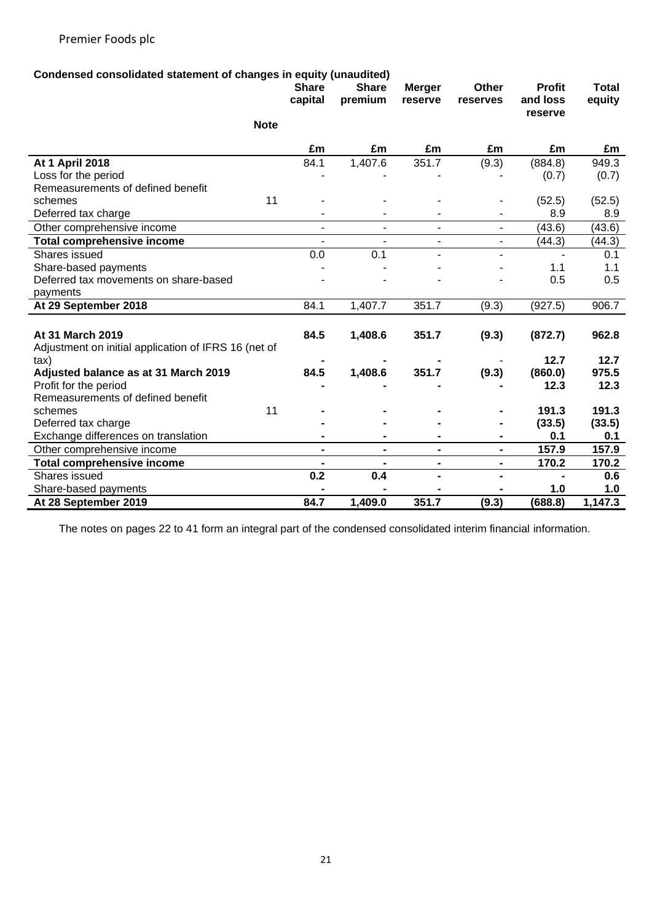# **Condensed consolidated statement of changes in equity (unaudited)**

|                                                      | <b>Share</b><br>capital  | <b>Share</b><br>premium | <b>Merger</b><br>reserve | Other<br>reserves        | <b>Profit</b><br>and loss | <b>Total</b><br>equity |
|------------------------------------------------------|--------------------------|-------------------------|--------------------------|--------------------------|---------------------------|------------------------|
|                                                      |                          |                         |                          |                          | reserve                   |                        |
| <b>Note</b>                                          |                          |                         |                          |                          |                           |                        |
|                                                      | £m                       | £m                      | £m                       | £m                       | £m                        | £m                     |
| <b>At 1 April 2018</b>                               | 84.1                     | 1,407.6                 | 351.7                    | (9.3)                    | (884.8)                   | 949.3                  |
| Loss for the period                                  |                          |                         |                          |                          | (0.7)                     | (0.7)                  |
| Remeasurements of defined benefit                    |                          |                         |                          |                          |                           |                        |
| schemes<br>11                                        |                          |                         |                          |                          | (52.5)                    | (52.5)                 |
| Deferred tax charge                                  |                          |                         |                          |                          | 8.9                       | 8.9                    |
| Other comprehensive income                           | $\overline{\phantom{a}}$ | $\blacksquare$          | $\blacksquare$           | $\overline{\phantom{a}}$ | (43.6)                    | (43.6)                 |
| <b>Total comprehensive income</b>                    |                          |                         |                          |                          | (44.3)                    | (44.3)                 |
| Shares issued                                        | 0.0                      | 0.1                     |                          |                          |                           | 0.1                    |
| Share-based payments                                 |                          |                         |                          |                          | 1.1                       | 1.1                    |
| Deferred tax movements on share-based                |                          |                         |                          |                          | 0.5                       | 0.5                    |
| payments                                             |                          |                         |                          |                          |                           |                        |
| At 29 September 2018                                 | 84.1                     | 1,407.7                 | 351.7                    | (9.3)                    | (927.5)                   | 906.7                  |
|                                                      |                          |                         |                          |                          |                           |                        |
| At 31 March 2019                                     | 84.5                     | 1,408.6                 | 351.7                    | (9.3)                    | (872.7)                   | 962.8                  |
| Adjustment on initial application of IFRS 16 (net of |                          |                         |                          |                          |                           |                        |
| tax)                                                 |                          |                         |                          |                          | 12.7                      | 12.7                   |
| Adjusted balance as at 31 March 2019                 | 84.5                     | 1,408.6                 | 351.7                    | (9.3)                    | (860.0)                   | 975.5                  |
| Profit for the period                                |                          |                         |                          |                          | 12.3                      | 12.3                   |
| Remeasurements of defined benefit                    |                          |                         |                          |                          |                           |                        |
| 11<br>schemes                                        |                          |                         |                          |                          | 191.3                     | 191.3                  |
| Deferred tax charge                                  |                          |                         |                          |                          | (33.5)                    | (33.5)                 |
| Exchange differences on translation                  |                          |                         |                          |                          | 0.1                       | 0.1                    |
| Other comprehensive income                           | $\blacksquare$           | $\blacksquare$          | ÷,                       | $\blacksquare$           | 157.9                     | 157.9                  |
| <b>Total comprehensive income</b>                    | $\blacksquare$           | $\blacksquare$          | $\blacksquare$           | $\blacksquare$           | 170.2                     | 170.2                  |
| Shares issued                                        | 0.2                      | 0.4                     |                          |                          |                           | 0.6                    |
| Share-based payments                                 |                          |                         |                          |                          | 1.0                       | 1.0                    |
| At 28 September 2019                                 | 84.7                     | 1,409.0                 | 351.7                    | (9.3)                    | (688.8)                   | $1,147.\overline{3}$   |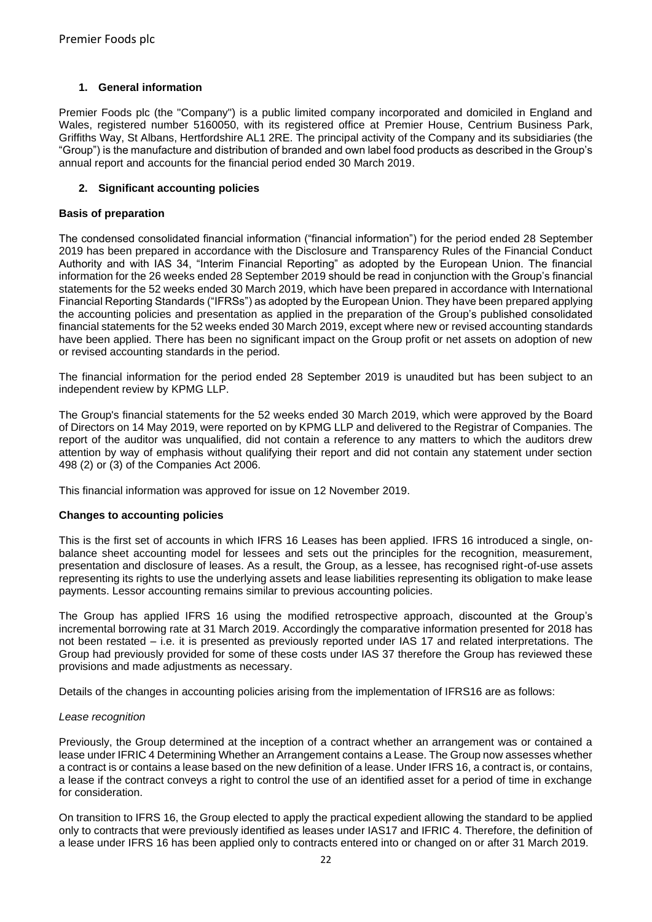### **1. General information**

Premier Foods plc (the "Company") is a public limited company incorporated and domiciled in England and Wales, registered number 5160050, with its registered office at Premier House, Centrium Business Park, Griffiths Way, St Albans, Hertfordshire AL1 2RE. The principal activity of the Company and its subsidiaries (the "Group") is the manufacture and distribution of branded and own label food products as described in the Group's annual report and accounts for the financial period ended 30 March 2019.

### **2. Significant accounting policies**

### **Basis of preparation**

The condensed consolidated financial information ("financial information") for the period ended 28 September 2019 has been prepared in accordance with the Disclosure and Transparency Rules of the Financial Conduct Authority and with IAS 34, "Interim Financial Reporting" as adopted by the European Union. The financial information for the 26 weeks ended 28 September 2019 should be read in conjunction with the Group's financial statements for the 52 weeks ended 30 March 2019, which have been prepared in accordance with International Financial Reporting Standards ("IFRSs") as adopted by the European Union. They have been prepared applying the accounting policies and presentation as applied in the preparation of the Group's published consolidated financial statements for the 52 weeks ended 30 March 2019, except where new or revised accounting standards have been applied. There has been no significant impact on the Group profit or net assets on adoption of new or revised accounting standards in the period.

The financial information for the period ended 28 September 2019 is unaudited but has been subject to an independent review by KPMG LLP.

The Group's financial statements for the 52 weeks ended 30 March 2019, which were approved by the Board of Directors on 14 May 2019, were reported on by KPMG LLP and delivered to the Registrar of Companies. The report of the auditor was unqualified, did not contain a reference to any matters to which the auditors drew attention by way of emphasis without qualifying their report and did not contain any statement under section 498 (2) or (3) of the Companies Act 2006.

This financial information was approved for issue on 12 November 2019.

### **Changes to accounting policies**

This is the first set of accounts in which IFRS 16 Leases has been applied. IFRS 16 introduced a single, onbalance sheet accounting model for lessees and sets out the principles for the recognition, measurement, presentation and disclosure of leases. As a result, the Group, as a lessee, has recognised right-of-use assets representing its rights to use the underlying assets and lease liabilities representing its obligation to make lease payments. Lessor accounting remains similar to previous accounting policies.

The Group has applied IFRS 16 using the modified retrospective approach, discounted at the Group's incremental borrowing rate at 31 March 2019. Accordingly the comparative information presented for 2018 has not been restated – i.e. it is presented as previously reported under IAS 17 and related interpretations. The Group had previously provided for some of these costs under IAS 37 therefore the Group has reviewed these provisions and made adjustments as necessary.

Details of the changes in accounting policies arising from the implementation of IFRS16 are as follows:

### *Lease recognition*

Previously, the Group determined at the inception of a contract whether an arrangement was or contained a lease under IFRIC 4 Determining Whether an Arrangement contains a Lease. The Group now assesses whether a contract is or contains a lease based on the new definition of a lease. Under IFRS 16, a contract is, or contains, a lease if the contract conveys a right to control the use of an identified asset for a period of time in exchange for consideration.

On transition to IFRS 16, the Group elected to apply the practical expedient allowing the standard to be applied only to contracts that were previously identified as leases under IAS17 and IFRIC 4. Therefore, the definition of a lease under IFRS 16 has been applied only to contracts entered into or changed on or after 31 March 2019.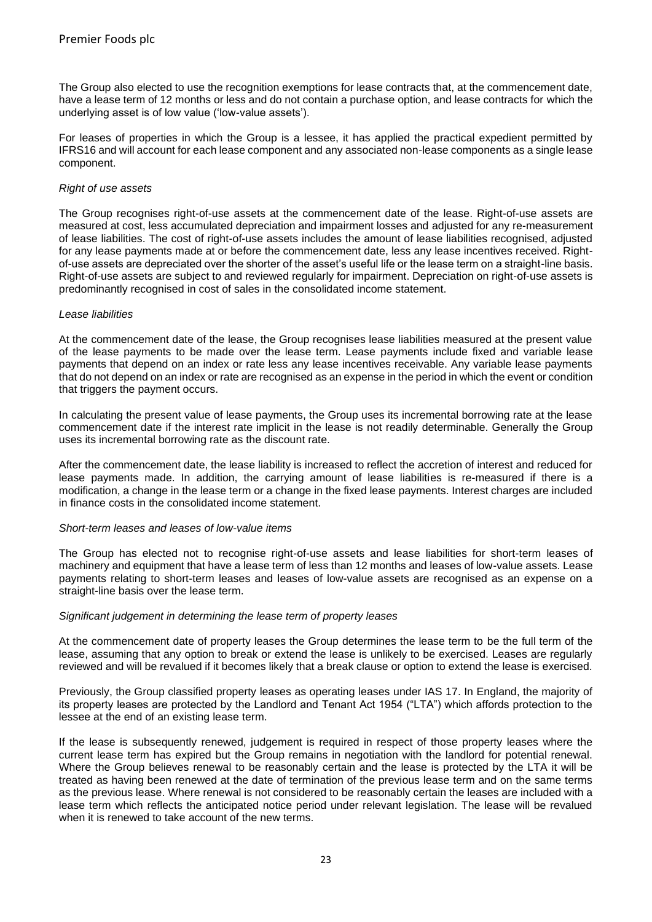The Group also elected to use the recognition exemptions for lease contracts that, at the commencement date, have a lease term of 12 months or less and do not contain a purchase option, and lease contracts for which the underlying asset is of low value ('low-value assets').

For leases of properties in which the Group is a lessee, it has applied the practical expedient permitted by IFRS16 and will account for each lease component and any associated non-lease components as a single lease component.

#### *Right of use assets*

The Group recognises right-of-use assets at the commencement date of the lease. Right-of-use assets are measured at cost, less accumulated depreciation and impairment losses and adjusted for any re-measurement of lease liabilities. The cost of right-of-use assets includes the amount of lease liabilities recognised, adjusted for any lease payments made at or before the commencement date, less any lease incentives received. Rightof-use assets are depreciated over the shorter of the asset's useful life or the lease term on a straight-line basis. Right-of-use assets are subject to and reviewed regularly for impairment. Depreciation on right-of-use assets is predominantly recognised in cost of sales in the consolidated income statement.

#### *Lease liabilities*

At the commencement date of the lease, the Group recognises lease liabilities measured at the present value of the lease payments to be made over the lease term. Lease payments include fixed and variable lease payments that depend on an index or rate less any lease incentives receivable. Any variable lease payments that do not depend on an index or rate are recognised as an expense in the period in which the event or condition that triggers the payment occurs.

In calculating the present value of lease payments, the Group uses its incremental borrowing rate at the lease commencement date if the interest rate implicit in the lease is not readily determinable. Generally the Group uses its incremental borrowing rate as the discount rate.

After the commencement date, the lease liability is increased to reflect the accretion of interest and reduced for lease payments made. In addition, the carrying amount of lease liabilities is re-measured if there is a modification, a change in the lease term or a change in the fixed lease payments. Interest charges are included in finance costs in the consolidated income statement.

#### *Short-term leases and leases of low-value items*

The Group has elected not to recognise right-of-use assets and lease liabilities for short-term leases of machinery and equipment that have a lease term of less than 12 months and leases of low-value assets. Lease payments relating to short-term leases and leases of low-value assets are recognised as an expense on a straight-line basis over the lease term.

#### *Significant judgement in determining the lease term of property leases*

At the commencement date of property leases the Group determines the lease term to be the full term of the lease, assuming that any option to break or extend the lease is unlikely to be exercised. Leases are regularly reviewed and will be revalued if it becomes likely that a break clause or option to extend the lease is exercised.

Previously, the Group classified property leases as operating leases under IAS 17. In England, the majority of its property leases are protected by the Landlord and Tenant Act 1954 ("LTA") which affords protection to the lessee at the end of an existing lease term.

If the lease is subsequently renewed, judgement is required in respect of those property leases where the current lease term has expired but the Group remains in negotiation with the landlord for potential renewal. Where the Group believes renewal to be reasonably certain and the lease is protected by the LTA it will be treated as having been renewed at the date of termination of the previous lease term and on the same terms as the previous lease. Where renewal is not considered to be reasonably certain the leases are included with a lease term which reflects the anticipated notice period under relevant legislation. The lease will be revalued when it is renewed to take account of the new terms.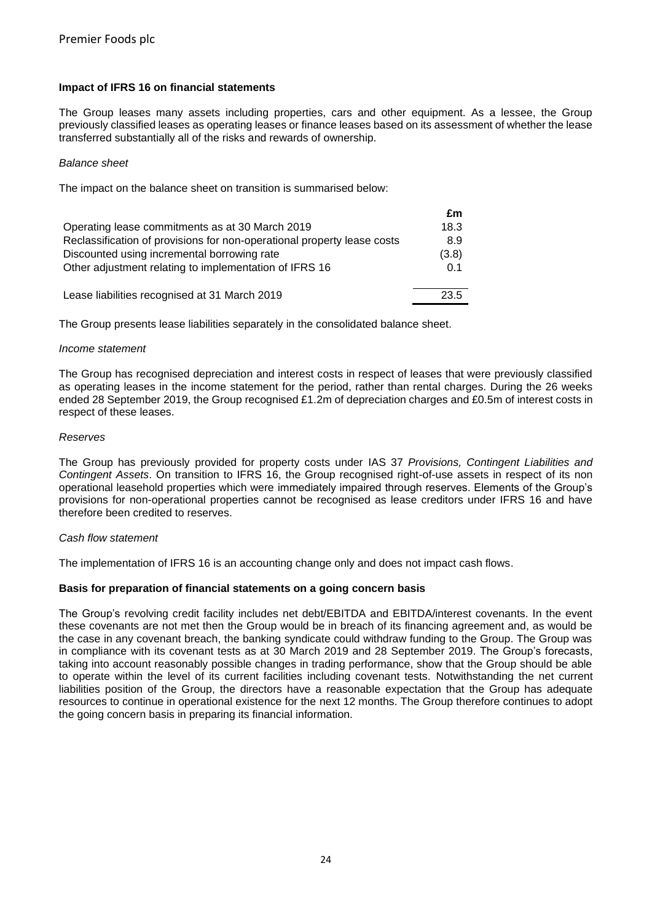### **Impact of IFRS 16 on financial statements**

The Group leases many assets including properties, cars and other equipment. As a lessee, the Group previously classified leases as operating leases or finance leases based on its assessment of whether the lease transferred substantially all of the risks and rewards of ownership.

#### *Balance sheet*

The impact on the balance sheet on transition is summarised below:

|                                                                         | £m    |
|-------------------------------------------------------------------------|-------|
| Operating lease commitments as at 30 March 2019                         | 18.3  |
| Reclassification of provisions for non-operational property lease costs | 8.9   |
| Discounted using incremental borrowing rate                             | (3.8) |
| Other adjustment relating to implementation of IFRS 16                  | 0.1   |
| Lease liabilities recognised at 31 March 2019                           | 23.5  |

The Group presents lease liabilities separately in the consolidated balance sheet.

#### *Income statement*

The Group has recognised depreciation and interest costs in respect of leases that were previously classified as operating leases in the income statement for the period, rather than rental charges. During the 26 weeks ended 28 September 2019, the Group recognised £1.2m of depreciation charges and £0.5m of interest costs in respect of these leases.

#### *Reserves*

The Group has previously provided for property costs under IAS 37 *Provisions, Contingent Liabilities and Contingent Assets*. On transition to IFRS 16, the Group recognised right-of-use assets in respect of its non operational leasehold properties which were immediately impaired through reserves. Elements of the Group's provisions for non-operational properties cannot be recognised as lease creditors under IFRS 16 and have therefore been credited to reserves.

### *Cash flow statement*

The implementation of IFRS 16 is an accounting change only and does not impact cash flows.

### **Basis for preparation of financial statements on a going concern basis**

The Group's revolving credit facility includes net debt/EBITDA and EBITDA/interest covenants. In the event these covenants are not met then the Group would be in breach of its financing agreement and, as would be the case in any covenant breach, the banking syndicate could withdraw funding to the Group. The Group was in compliance with its covenant tests as at 30 March 2019 and 28 September 2019. The Group's forecasts, taking into account reasonably possible changes in trading performance, show that the Group should be able to operate within the level of its current facilities including covenant tests. Notwithstanding the net current liabilities position of the Group, the directors have a reasonable expectation that the Group has adequate resources to continue in operational existence for the next 12 months. The Group therefore continues to adopt the going concern basis in preparing its financial information.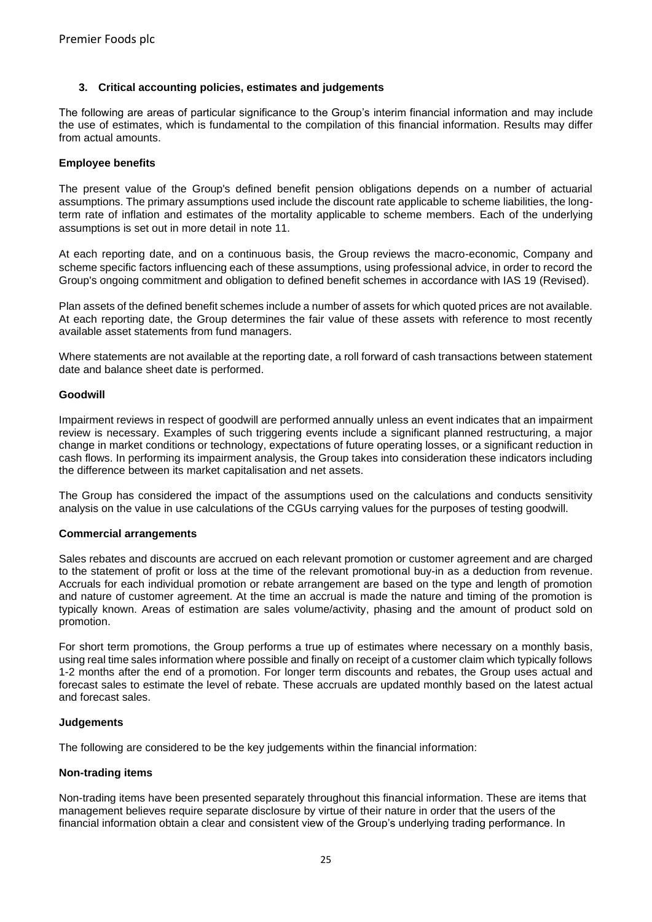### **3. Critical accounting policies, estimates and judgements**

The following are areas of particular significance to the Group's interim financial information and may include the use of estimates, which is fundamental to the compilation of this financial information. Results may differ from actual amounts.

#### **Employee benefits**

The present value of the Group's defined benefit pension obligations depends on a number of actuarial assumptions. The primary assumptions used include the discount rate applicable to scheme liabilities, the longterm rate of inflation and estimates of the mortality applicable to scheme members. Each of the underlying assumptions is set out in more detail in note 11.

At each reporting date, and on a continuous basis, the Group reviews the macro-economic, Company and scheme specific factors influencing each of these assumptions, using professional advice, in order to record the Group's ongoing commitment and obligation to defined benefit schemes in accordance with IAS 19 (Revised).

Plan assets of the defined benefit schemes include a number of assets for which quoted prices are not available. At each reporting date, the Group determines the fair value of these assets with reference to most recently available asset statements from fund managers.

Where statements are not available at the reporting date, a roll forward of cash transactions between statement date and balance sheet date is performed.

#### **Goodwill**

Impairment reviews in respect of goodwill are performed annually unless an event indicates that an impairment review is necessary. Examples of such triggering events include a significant planned restructuring, a major change in market conditions or technology, expectations of future operating losses, or a significant reduction in cash flows. In performing its impairment analysis, the Group takes into consideration these indicators including the difference between its market capitalisation and net assets.

The Group has considered the impact of the assumptions used on the calculations and conducts sensitivity analysis on the value in use calculations of the CGUs carrying values for the purposes of testing goodwill.

#### **Commercial arrangements**

Sales rebates and discounts are accrued on each relevant promotion or customer agreement and are charged to the statement of profit or loss at the time of the relevant promotional buy-in as a deduction from revenue. Accruals for each individual promotion or rebate arrangement are based on the type and length of promotion and nature of customer agreement. At the time an accrual is made the nature and timing of the promotion is typically known. Areas of estimation are sales volume/activity, phasing and the amount of product sold on promotion.

For short term promotions, the Group performs a true up of estimates where necessary on a monthly basis, using real time sales information where possible and finally on receipt of a customer claim which typically follows 1-2 months after the end of a promotion. For longer term discounts and rebates, the Group uses actual and forecast sales to estimate the level of rebate. These accruals are updated monthly based on the latest actual and forecast sales.

#### **Judgements**

The following are considered to be the key judgements within the financial information:

### **Non-trading items**

Non-trading items have been presented separately throughout this financial information. These are items that management believes require separate disclosure by virtue of their nature in order that the users of the financial information obtain a clear and consistent view of the Group's underlying trading performance. In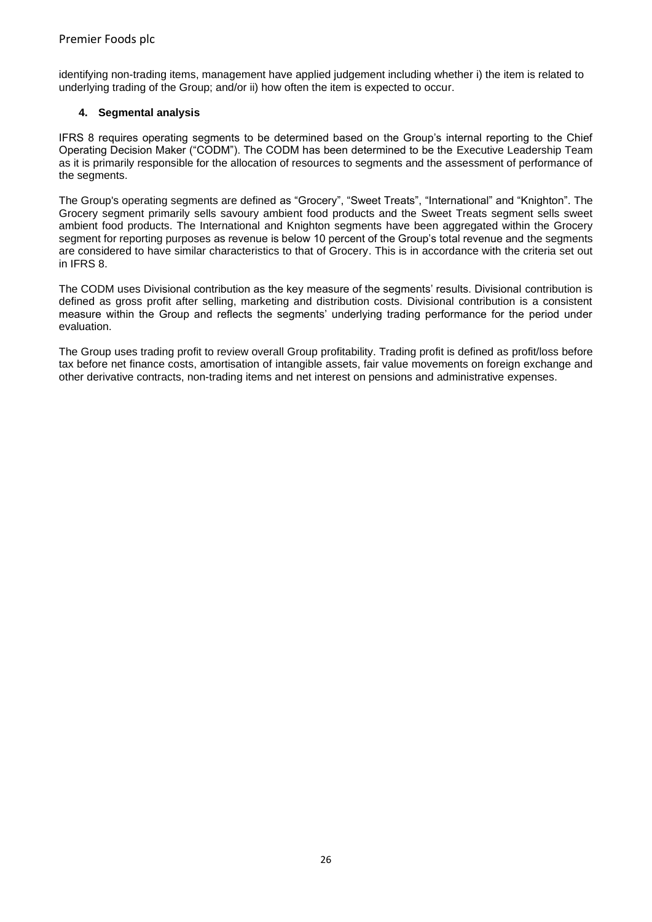identifying non-trading items, management have applied judgement including whether i) the item is related to underlying trading of the Group; and/or ii) how often the item is expected to occur.

### **4. Segmental analysis**

IFRS 8 requires operating segments to be determined based on the Group's internal reporting to the Chief Operating Decision Maker ("CODM"). The CODM has been determined to be the Executive Leadership Team as it is primarily responsible for the allocation of resources to segments and the assessment of performance of the segments.

The Group's operating segments are defined as "Grocery", "Sweet Treats", "International" and "Knighton". The Grocery segment primarily sells savoury ambient food products and the Sweet Treats segment sells sweet ambient food products. The International and Knighton segments have been aggregated within the Grocery segment for reporting purposes as revenue is below 10 percent of the Group's total revenue and the segments are considered to have similar characteristics to that of Grocery. This is in accordance with the criteria set out in IFRS 8.

The CODM uses Divisional contribution as the key measure of the segments' results. Divisional contribution is defined as gross profit after selling, marketing and distribution costs. Divisional contribution is a consistent measure within the Group and reflects the segments' underlying trading performance for the period under evaluation.

The Group uses trading profit to review overall Group profitability. Trading profit is defined as profit/loss before tax before net finance costs, amortisation of intangible assets, fair value movements on foreign exchange and other derivative contracts, non-trading items and net interest on pensions and administrative expenses.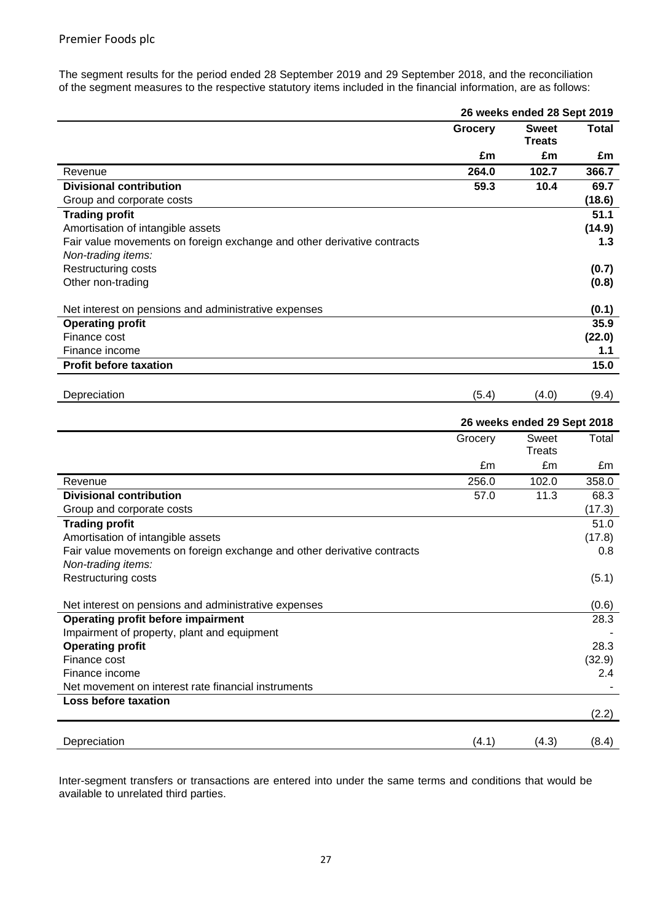The segment results for the period ended 28 September 2019 and 29 September 2018, and the reconciliation of the segment measures to the respective statutory items included in the financial information, are as follows:

|                                                                         |         | 26 weeks ended 28 Sept 2019 |              |  |  |
|-------------------------------------------------------------------------|---------|-----------------------------|--------------|--|--|
|                                                                         | Grocery | <b>Sweet</b><br>Treats      | <b>Total</b> |  |  |
|                                                                         | £m      | £m                          | £m           |  |  |
| Revenue                                                                 | 264.0   | 102.7                       | 366.7        |  |  |
| <b>Divisional contribution</b>                                          | 59.3    | 10.4                        | 69.7         |  |  |
| Group and corporate costs                                               |         |                             | (18.6)       |  |  |
| <b>Trading profit</b>                                                   |         |                             | 51.1         |  |  |
| Amortisation of intangible assets                                       |         |                             | (14.9)       |  |  |
| Fair value movements on foreign exchange and other derivative contracts |         |                             | 1.3          |  |  |
| Non-trading items:                                                      |         |                             |              |  |  |
| Restructuring costs                                                     |         |                             | (0.7)        |  |  |
| Other non-trading                                                       |         |                             | (0.8)        |  |  |
|                                                                         |         |                             |              |  |  |
| Net interest on pensions and administrative expenses                    |         |                             | (0.1)        |  |  |
| <b>Operating profit</b>                                                 |         |                             | 35.9         |  |  |
| Finance cost                                                            |         |                             | (22.0)       |  |  |
| Finance income                                                          |         |                             | 1.1          |  |  |
| <b>Profit before taxation</b>                                           |         |                             | 15.0         |  |  |
|                                                                         |         |                             |              |  |  |
| Depreciation                                                            | (5.4)   | (4.0)                       | (9.4)        |  |  |

|                                                                         |         | 26 weeks ended 29 Sept 2018 |        |
|-------------------------------------------------------------------------|---------|-----------------------------|--------|
|                                                                         | Grocery | Sweet<br>Treats             | Total  |
|                                                                         | £m      | £m                          | £m     |
| Revenue                                                                 | 256.0   | 102.0                       | 358.0  |
| <b>Divisional contribution</b>                                          | 57.0    | 11.3                        | 68.3   |
| Group and corporate costs                                               |         |                             | (17.3) |
| <b>Trading profit</b>                                                   |         |                             | 51.0   |
| Amortisation of intangible assets                                       |         |                             | (17.8) |
| Fair value movements on foreign exchange and other derivative contracts |         |                             | 0.8    |
| Non-trading items:                                                      |         |                             |        |
| Restructuring costs                                                     |         |                             | (5.1)  |
| Net interest on pensions and administrative expenses                    |         |                             | (0.6)  |
| <b>Operating profit before impairment</b>                               |         |                             | 28.3   |
| Impairment of property, plant and equipment                             |         |                             |        |
| <b>Operating profit</b>                                                 |         |                             | 28.3   |
| Finance cost                                                            |         |                             | (32.9) |
| Finance income                                                          |         |                             | 2.4    |
| Net movement on interest rate financial instruments                     |         |                             |        |
| Loss before taxation                                                    |         |                             |        |
|                                                                         |         |                             | (2.2)  |
| Depreciation                                                            | (4.1)   | (4.3)                       | (8.4)  |

Inter-segment transfers or transactions are entered into under the same terms and conditions that would be available to unrelated third parties.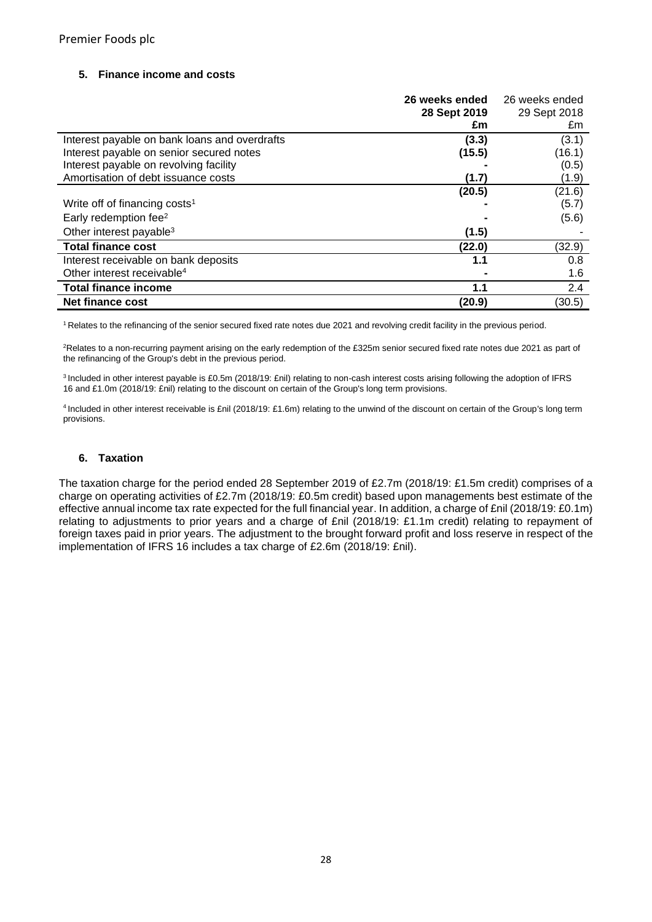### **5. Finance income and costs**

|                                               | 26 weeks ended<br>28 Sept 2019<br>£m | 26 weeks ended<br>29 Sept 2018<br>£m |
|-----------------------------------------------|--------------------------------------|--------------------------------------|
| Interest payable on bank loans and overdrafts | (3.3)                                | (3.1)                                |
| Interest payable on senior secured notes      | (15.5)                               | (16.1)                               |
| Interest payable on revolving facility        |                                      | (0.5)                                |
| Amortisation of debt issuance costs           | (1.7)                                | (1.9)                                |
|                                               | (20.5)                               | (21.6)                               |
| Write off of financing costs <sup>1</sup>     |                                      | (5.7)                                |
| Early redemption fee <sup>2</sup>             |                                      | (5.6)                                |
| Other interest payable <sup>3</sup>           | (1.5)                                |                                      |
| <b>Total finance cost</b>                     | (22.0)                               | (32.9)                               |
| Interest receivable on bank deposits          | 1.1                                  | 0.8                                  |
| Other interest receivable <sup>4</sup>        |                                      | 1.6                                  |
| <b>Total finance income</b>                   | 1.1                                  | 2.4                                  |
| Net finance cost                              | (20.9)                               | (30.5)                               |

<sup>1</sup>Relates to the refinancing of the senior secured fixed rate notes due 2021 and revolving credit facility in the previous period.

<sup>2</sup>Relates to a non-recurring payment arising on the early redemption of the £325m senior secured fixed rate notes due 2021 as part of the refinancing of the Group's debt in the previous period.

<sup>3</sup> Included in other interest payable is £0.5m (2018/19: £nil) relating to non-cash interest costs arising following the adoption of IFRS 16 and £1.0m (2018/19: £nil) relating to the discount on certain of the Group's long term provisions.

<sup>4</sup>Included in other interest receivable is £nil (2018/19: £1.6m) relating to the unwind of the discount on certain of the Group's long term provisions.

#### **6. Taxation**

The taxation charge for the period ended 28 September 2019 of £2.7m (2018/19: £1.5m credit) comprises of a charge on operating activities of £2.7m (2018/19: £0.5m credit) based upon managements best estimate of the effective annual income tax rate expected for the full financial year. In addition, a charge of £nil (2018/19: £0.1m) relating to adjustments to prior years and a charge of £nil (2018/19: £1.1m credit) relating to repayment of foreign taxes paid in prior years. The adjustment to the brought forward profit and loss reserve in respect of the implementation of IFRS 16 includes a tax charge of £2.6m (2018/19: £nil).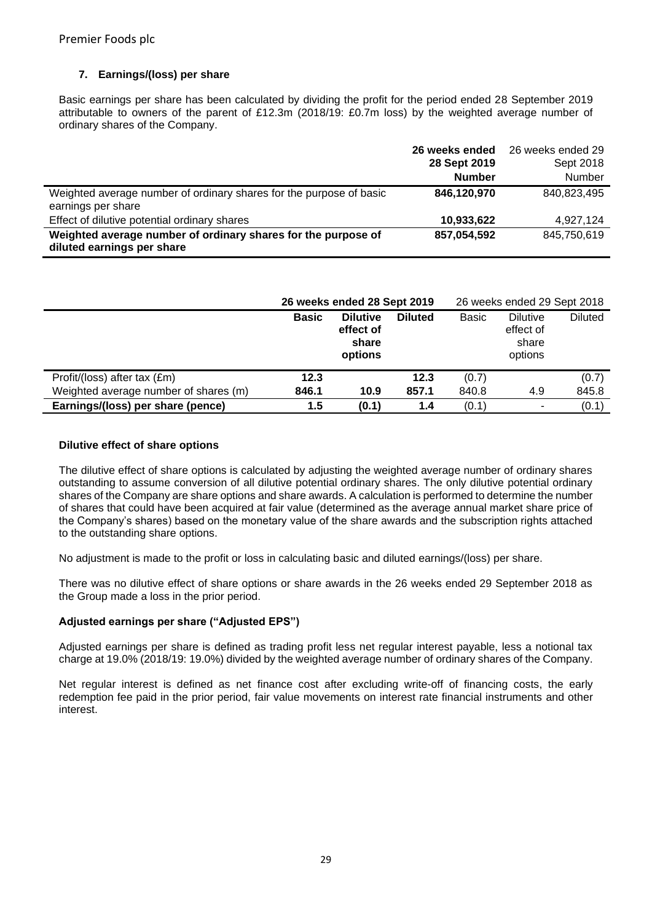# **7. Earnings/(loss) per share**

Basic earnings per share has been calculated by dividing the profit for the period ended 28 September 2019 attributable to owners of the parent of £12.3m (2018/19: £0.7m loss) by the weighted average number of ordinary shares of the Company.

|                                                                                             | 26 weeks ended | 26 weeks ended 29 |
|---------------------------------------------------------------------------------------------|----------------|-------------------|
|                                                                                             | 28 Sept 2019   | Sept 2018         |
|                                                                                             | <b>Number</b>  | Number            |
| Weighted average number of ordinary shares for the purpose of basic<br>earnings per share   | 846,120,970    | 840,823,495       |
| Effect of dilutive potential ordinary shares                                                | 10.933.622     | 4.927.124         |
| Weighted average number of ordinary shares for the purpose of<br>diluted earnings per share | 857,054,592    | 845,750,619       |

|                                       | 26 weeks ended 28 Sept 2019 |                                                  |                |              | 26 weeks ended 29 Sept 2018                      |                |
|---------------------------------------|-----------------------------|--------------------------------------------------|----------------|--------------|--------------------------------------------------|----------------|
|                                       | <b>Basic</b>                | <b>Dilutive</b><br>effect of<br>share<br>options | <b>Diluted</b> | <b>Basic</b> | <b>Dilutive</b><br>effect of<br>share<br>options | <b>Diluted</b> |
| Profit/(loss) after tax (£m)          | 12.3                        |                                                  | 12.3           | (0.7)        |                                                  | (0.7)          |
| Weighted average number of shares (m) | 846.1                       | 10.9                                             | 857.1          | 840.8        | 4.9                                              | 845.8          |
| Earnings/(loss) per share (pence)     | 1.5                         | (0.1)                                            | 1.4            | (0.1)        |                                                  | (0.1)          |

### **Dilutive effect of share options**

The dilutive effect of share options is calculated by adjusting the weighted average number of ordinary shares outstanding to assume conversion of all dilutive potential ordinary shares. The only dilutive potential ordinary shares of the Company are share options and share awards. A calculation is performed to determine the number of shares that could have been acquired at fair value (determined as the average annual market share price of the Company's shares) based on the monetary value of the share awards and the subscription rights attached to the outstanding share options.

No adjustment is made to the profit or loss in calculating basic and diluted earnings/(loss) per share.

There was no dilutive effect of share options or share awards in the 26 weeks ended 29 September 2018 as the Group made a loss in the prior period.

### **Adjusted earnings per share ("Adjusted EPS")**

Adjusted earnings per share is defined as trading profit less net regular interest payable, less a notional tax charge at 19.0% (2018/19: 19.0%) divided by the weighted average number of ordinary shares of the Company.

Net regular interest is defined as net finance cost after excluding write-off of financing costs, the early redemption fee paid in the prior period, fair value movements on interest rate financial instruments and other interest.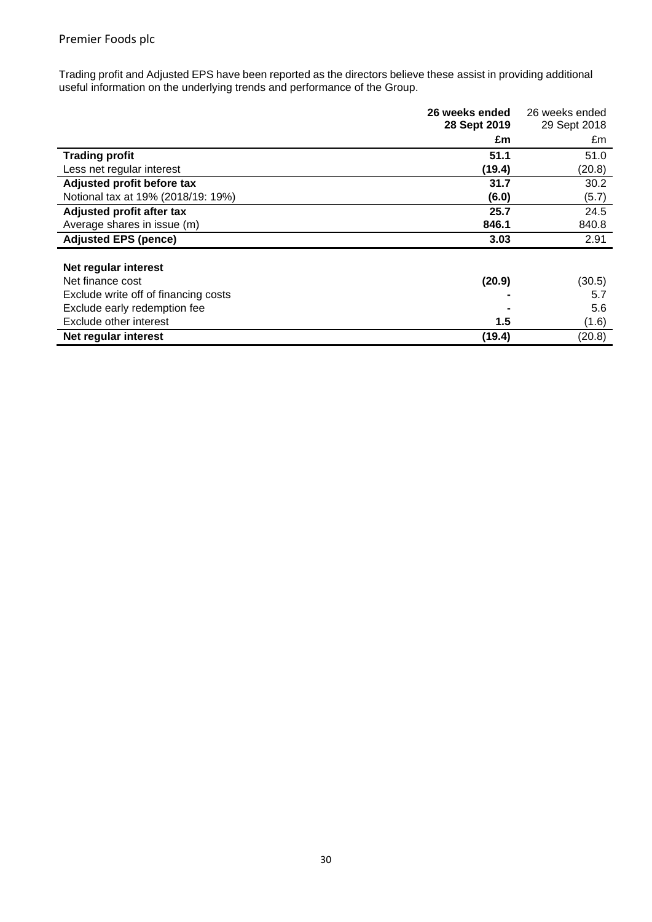Trading profit and Adjusted EPS have been reported as the directors believe these assist in providing additional useful information on the underlying trends and performance of the Group.

|                                      | 26 weeks ended | 26 weeks ended |
|--------------------------------------|----------------|----------------|
|                                      | 28 Sept 2019   | 29 Sept 2018   |
|                                      | £m             | £m             |
| <b>Trading profit</b>                | 51.1           | 51.0           |
| Less net regular interest            | (19.4)         | (20.8)         |
| Adjusted profit before tax           | 31.7           | 30.2           |
| Notional tax at 19% (2018/19: 19%)   | (6.0)          | (5.7)          |
| Adjusted profit after tax            | 25.7           | 24.5           |
| Average shares in issue (m)          | 846.1          | 840.8          |
| <b>Adjusted EPS (pence)</b>          | 3.03           | 2.91           |
|                                      |                |                |
| Net regular interest                 |                |                |
| Net finance cost                     | (20.9)         | (30.5)         |
| Exclude write off of financing costs |                | 5.7            |
| Exclude early redemption fee         |                | 5.6            |
| Exclude other interest               | 1.5            | (1.6)          |
| Net regular interest                 | (19.4)         | (20.8)         |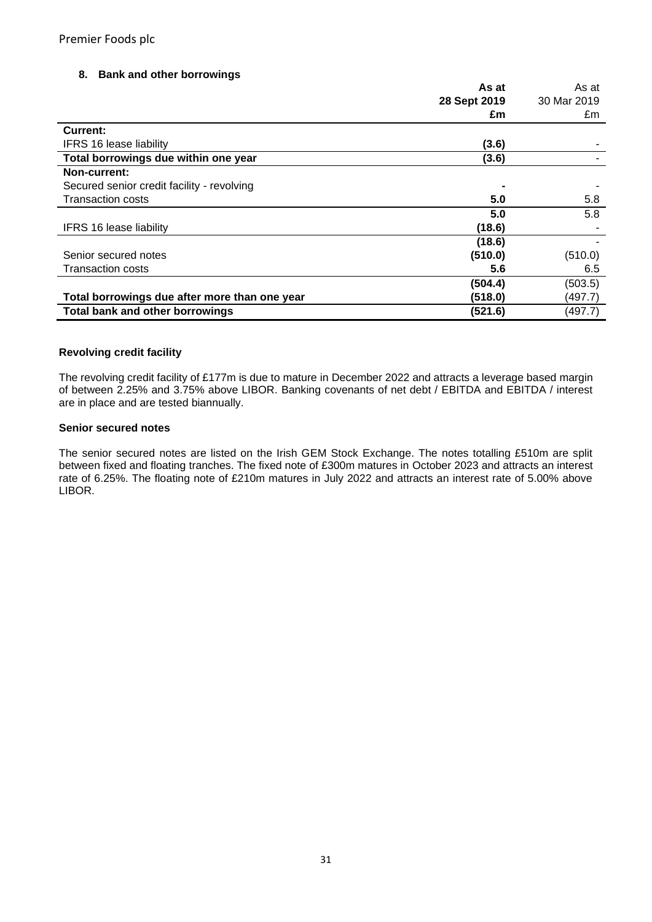# **8. Bank and other borrowings**

|                                               | As at        | As at       |
|-----------------------------------------------|--------------|-------------|
|                                               | 28 Sept 2019 | 30 Mar 2019 |
|                                               | £m           | £m          |
| <b>Current:</b>                               |              |             |
| <b>IFRS 16 lease liability</b>                | (3.6)        |             |
| Total borrowings due within one year          | (3.6)        |             |
| Non-current:                                  |              |             |
| Secured senior credit facility - revolving    |              |             |
| <b>Transaction costs</b>                      | 5.0          | 5.8         |
|                                               | 5.0          | 5.8         |
| <b>IFRS 16 lease liability</b>                | (18.6)       |             |
|                                               | (18.6)       |             |
| Senior secured notes                          | (510.0)      | (510.0)     |
| <b>Transaction costs</b>                      | 5.6          | 6.5         |
|                                               | (504.4)      | (503.5)     |
| Total borrowings due after more than one year | (518.0)      | (497.7)     |
| <b>Total bank and other borrowings</b>        | (521.6)      | (497.7)     |

### **Revolving credit facility**

The revolving credit facility of £177m is due to mature in December 2022 and attracts a leverage based margin of between 2.25% and 3.75% above LIBOR. Banking covenants of net debt / EBITDA and EBITDA / interest are in place and are tested biannually.

#### **Senior secured notes**

The senior secured notes are listed on the Irish GEM Stock Exchange. The notes totalling £510m are split between fixed and floating tranches. The fixed note of £300m matures in October 2023 and attracts an interest rate of 6.25%. The floating note of £210m matures in July 2022 and attracts an interest rate of 5.00% above LIBOR.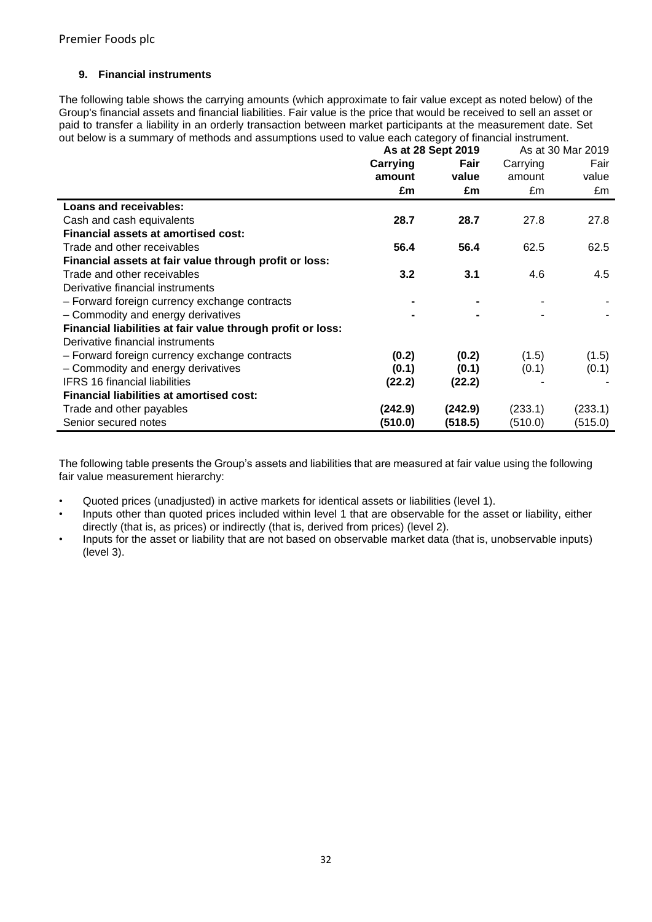# **9. Financial instruments**

The following table shows the carrying amounts (which approximate to fair value except as noted below) of the Group's financial assets and financial liabilities. Fair value is the price that would be received to sell an asset or paid to transfer a liability in an orderly transaction between market participants at the measurement date. Set out below is a summary of methods and assumptions used to value each category of financial instrument.

|                                                             | As at 28 Sept 2019 |         | As at 30 Mar 2019 |         |
|-------------------------------------------------------------|--------------------|---------|-------------------|---------|
|                                                             | Carrying           | Fair    | Carrying          | Fair    |
|                                                             | amount             | value   | amount            | value   |
|                                                             | £m                 | £m      | £m                | £m      |
| Loans and receivables:                                      |                    |         |                   |         |
| Cash and cash equivalents                                   | 28.7               | 28.7    | 27.8              | 27.8    |
| Financial assets at amortised cost:                         |                    |         |                   |         |
| Trade and other receivables                                 | 56.4               | 56.4    | 62.5              | 62.5    |
| Financial assets at fair value through profit or loss:      |                    |         |                   |         |
| Trade and other receivables                                 | 3.2                | 3.1     | 4.6               | 4.5     |
| Derivative financial instruments                            |                    |         |                   |         |
| - Forward foreign currency exchange contracts               |                    |         |                   |         |
| - Commodity and energy derivatives                          |                    |         |                   |         |
| Financial liabilities at fair value through profit or loss: |                    |         |                   |         |
| Derivative financial instruments                            |                    |         |                   |         |
| - Forward foreign currency exchange contracts               | (0.2)              | (0.2)   | (1.5)             | (1.5)   |
| - Commodity and energy derivatives                          | (0.1)              | (0.1)   | (0.1)             | (0.1)   |
| <b>IFRS 16 financial liabilities</b>                        | (22.2)             | (22.2)  |                   |         |
| <b>Financial liabilities at amortised cost:</b>             |                    |         |                   |         |
| Trade and other payables                                    | (242.9)            | (242.9) | (233.1)           | (233.1) |
| Senior secured notes                                        | (510.0)            | (518.5) | (510.0)           | (515.0) |

The following table presents the Group's assets and liabilities that are measured at fair value using the following fair value measurement hierarchy:

- Quoted prices (unadjusted) in active markets for identical assets or liabilities (level 1).
- Inputs other than quoted prices included within level 1 that are observable for the asset or liability, either directly (that is, as prices) or indirectly (that is, derived from prices) (level 2).
- Inputs for the asset or liability that are not based on observable market data (that is, unobservable inputs) (level 3).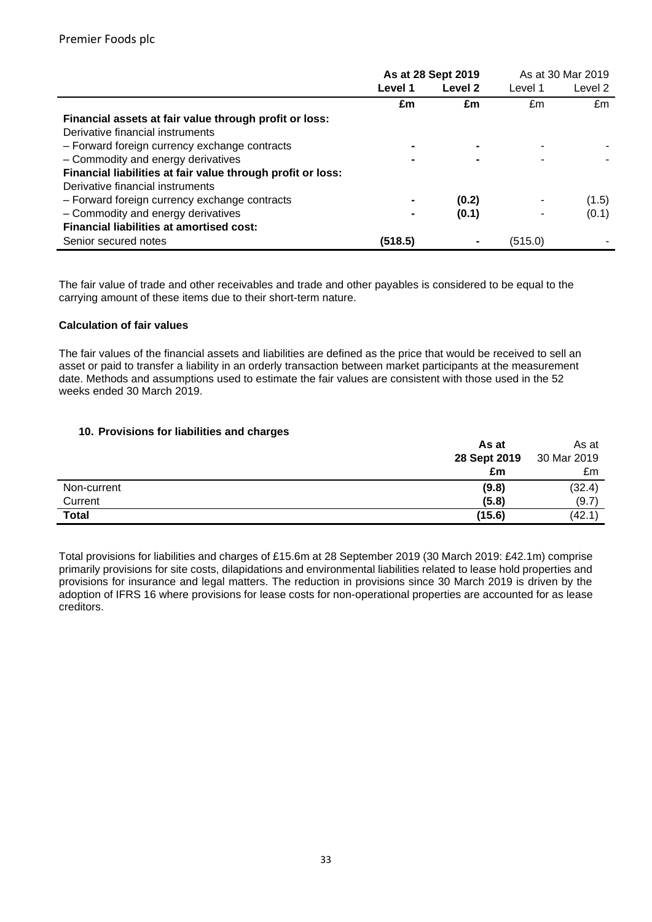|                                                             | As at 28 Sept 2019 |         | As at 30 Mar 2019 |         |
|-------------------------------------------------------------|--------------------|---------|-------------------|---------|
|                                                             | Level 1            | Level 2 | Level 1           | Level 2 |
|                                                             | £m                 | £m      | £m                | £m      |
| Financial assets at fair value through profit or loss:      |                    |         |                   |         |
| Derivative financial instruments                            |                    |         |                   |         |
| - Forward foreign currency exchange contracts               | -                  |         |                   |         |
| - Commodity and energy derivatives                          |                    |         |                   |         |
| Financial liabilities at fair value through profit or loss: |                    |         |                   |         |
| Derivative financial instruments                            |                    |         |                   |         |
| - Forward foreign currency exchange contracts               |                    | (0.2)   |                   | (1.5)   |
| - Commodity and energy derivatives                          |                    | (0.1)   |                   | (0.1)   |
| <b>Financial liabilities at amortised cost:</b>             |                    |         |                   |         |
| Senior secured notes                                        | (518.5)            |         | (515.0)           |         |

The fair value of trade and other receivables and trade and other payables is considered to be equal to the carrying amount of these items due to their short-term nature.

### **Calculation of fair values**

The fair values of the financial assets and liabilities are defined as the price that would be received to sell an asset or paid to transfer a liability in an orderly transaction between market participants at the measurement date. Methods and assumptions used to estimate the fair values are consistent with those used in the 52 weeks ended 30 March 2019.

### **10. Provisions for liabilities and charges**

|              | As at        | As at       |
|--------------|--------------|-------------|
|              | 28 Sept 2019 | 30 Mar 2019 |
|              | £m           | £m          |
| Non-current  | (9.8)        | (32.4)      |
| Current      | (5.8)        | (9.7)       |
| <b>Total</b> | (15.6)       | (42.1)      |

Total provisions for liabilities and charges of £15.6m at 28 September 2019 (30 March 2019: £42.1m) comprise primarily provisions for site costs, dilapidations and environmental liabilities related to lease hold properties and provisions for insurance and legal matters. The reduction in provisions since 30 March 2019 is driven by the adoption of IFRS 16 where provisions for lease costs for non-operational properties are accounted for as lease creditors.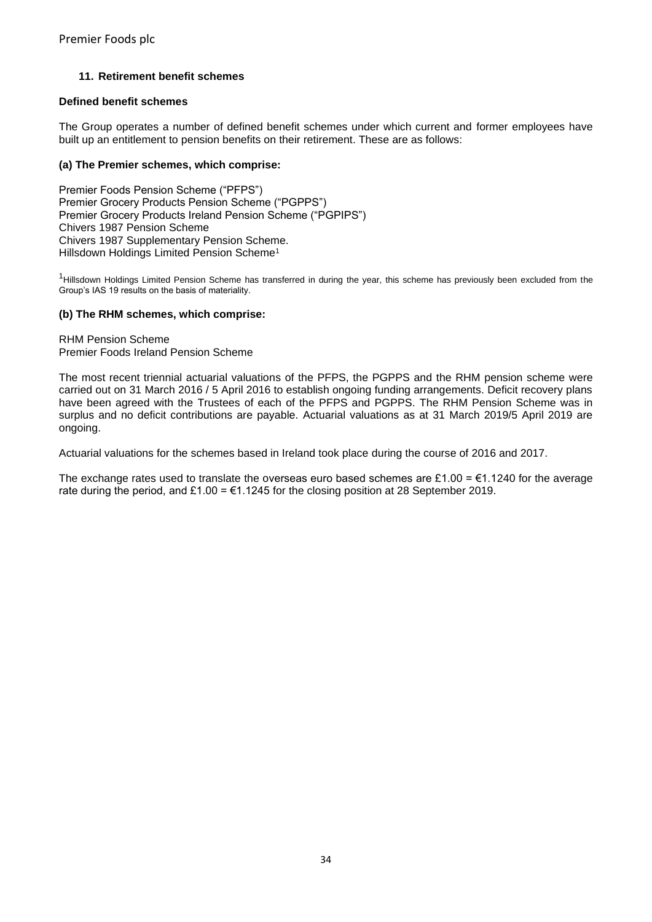### **11. Retirement benefit schemes**

#### **Defined benefit schemes**

The Group operates a number of defined benefit schemes under which current and former employees have built up an entitlement to pension benefits on their retirement. These are as follows:

#### **(a) The Premier schemes, which comprise:**

Premier Foods Pension Scheme ("PFPS") Premier Grocery Products Pension Scheme ("PGPPS") Premier Grocery Products Ireland Pension Scheme ("PGPIPS") Chivers 1987 Pension Scheme Chivers 1987 Supplementary Pension Scheme. Hillsdown Holdings Limited Pension Scheme<sup>1</sup>

<sup>1</sup>Hillsdown Holdings Limited Pension Scheme has transferred in during the year, this scheme has previously been excluded from the Group's IAS 19 results on the basis of materiality.

### **(b) The RHM schemes, which comprise:**

RHM Pension Scheme Premier Foods Ireland Pension Scheme

The most recent triennial actuarial valuations of the PFPS, the PGPPS and the RHM pension scheme were carried out on 31 March 2016 / 5 April 2016 to establish ongoing funding arrangements. Deficit recovery plans have been agreed with the Trustees of each of the PFPS and PGPPS. The RHM Pension Scheme was in surplus and no deficit contributions are payable. Actuarial valuations as at 31 March 2019/5 April 2019 are ongoing.

Actuarial valuations for the schemes based in Ireland took place during the course of 2016 and 2017.

The exchange rates used to translate the overseas euro based schemes are £1.00 =  $\epsilon$ 1.1240 for the average rate during the period, and  $£1.00 = £1.1245$  for the closing position at 28 September 2019.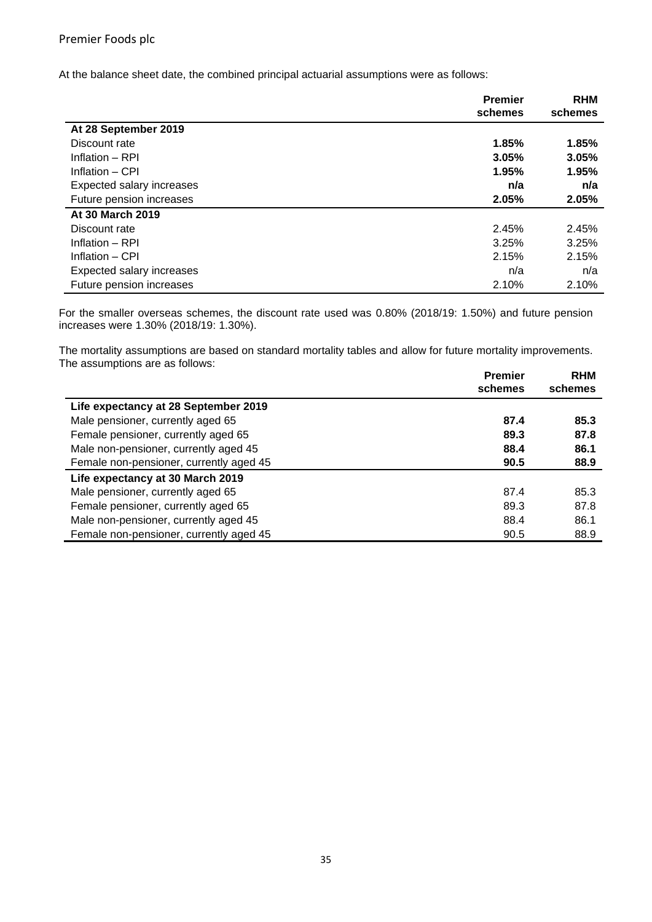At the balance sheet date, the combined principal actuarial assumptions were as follows:

|                           | <b>Premier</b><br>schemes | <b>RHM</b><br>schemes |
|---------------------------|---------------------------|-----------------------|
| At 28 September 2019      |                           |                       |
| Discount rate             | 1.85%                     | 1.85%                 |
| Inflation - RPI           | 3.05%                     | 3.05%                 |
| Inflation - CPI           | 1.95%                     | 1.95%                 |
| Expected salary increases | n/a                       | n/a                   |
| Future pension increases  | 2.05%                     | 2.05%                 |
| <b>At 30 March 2019</b>   |                           |                       |
| Discount rate             | 2.45%                     | 2.45%                 |
| Inflation - RPI           | 3.25%                     | 3.25%                 |
| Inflation - CPI           | 2.15%                     | 2.15%                 |
| Expected salary increases | n/a                       | n/a                   |
| Future pension increases  | 2.10%                     | 2.10%                 |

For the smaller overseas schemes, the discount rate used was 0.80% (2018/19: 1.50%) and future pension increases were 1.30% (2018/19: 1.30%).

The mortality assumptions are based on standard mortality tables and allow for future mortality improvements. The assumptions are as follows:

|                                         | <b>Premier</b><br>schemes | <b>RHM</b><br>schemes |
|-----------------------------------------|---------------------------|-----------------------|
| Life expectancy at 28 September 2019    |                           |                       |
| Male pensioner, currently aged 65       | 87.4                      | 85.3                  |
| Female pensioner, currently aged 65     | 89.3                      | 87.8                  |
| Male non-pensioner, currently aged 45   | 88.4                      | 86.1                  |
| Female non-pensioner, currently aged 45 | 90.5                      | 88.9                  |
| Life expectancy at 30 March 2019        |                           |                       |
| Male pensioner, currently aged 65       | 87.4                      | 85.3                  |
| Female pensioner, currently aged 65     | 89.3                      | 87.8                  |
| Male non-pensioner, currently aged 45   | 88.4                      | 86.1                  |
| Female non-pensioner, currently aged 45 | 90.5                      | 88.9                  |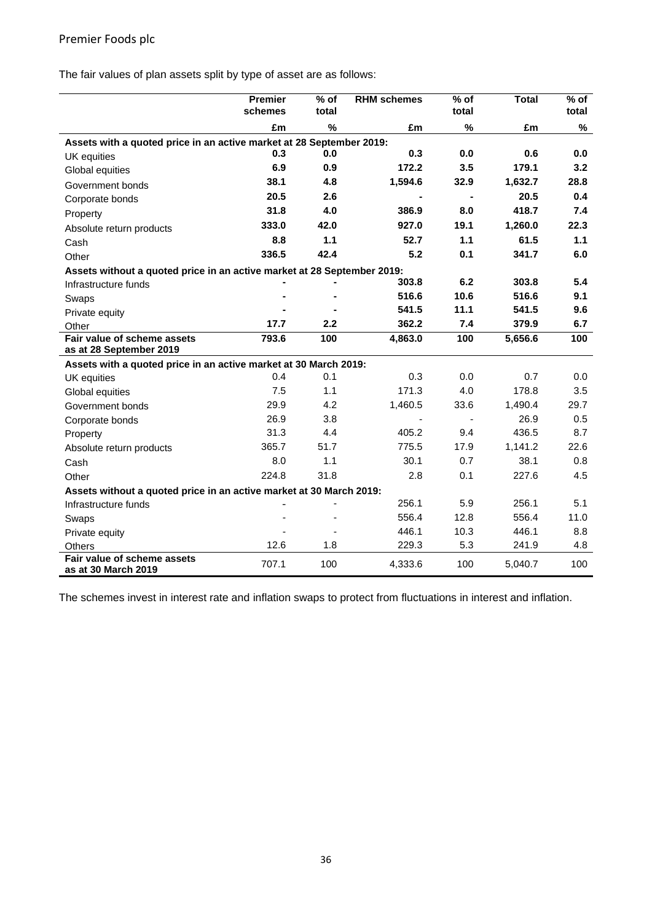# Premier Foods plc

The fair values of plan assets split by type of asset are as follows:

|                                                                                                 | <b>Premier</b><br>schemes | $%$ of<br>total | <b>RHM</b> schemes | $%$ of<br>total | <b>Total</b> | $%$ of<br>total |
|-------------------------------------------------------------------------------------------------|---------------------------|-----------------|--------------------|-----------------|--------------|-----------------|
|                                                                                                 |                           | $\frac{0}{0}$   |                    | %               |              | %               |
| Assets with a quoted price in an active market at 28 September 2019:                            | £m                        |                 | £m                 |                 | £m           |                 |
| UK equities                                                                                     | 0.3                       | 0.0             | 0.3                | 0.0             | 0.6          | 0.0             |
| Global equities                                                                                 | 6.9                       | 0.9             | 172.2              | 3.5             | 179.1        | 3.2             |
| Government bonds                                                                                | 38.1                      | 4.8             | 1,594.6            | 32.9            | 1,632.7      | 28.8            |
| Corporate bonds                                                                                 | 20.5                      | 2.6             | $\blacksquare$     | $\blacksquare$  | 20.5         | 0.4             |
|                                                                                                 | 31.8                      | 4.0             | 386.9              | 8.0             | 418.7        | 7.4             |
| Property                                                                                        | 333.0                     | 42.0            | 927.0              | 19.1            | 1.260.0      | 22.3            |
| Absolute return products                                                                        | 8.8                       | $1.1$           | 52.7               | $1.1$           | 61.5         | 1.1             |
| Cash                                                                                            | 336.5                     | 42.4            | 5.2                | 0.1             | 341.7        | 6.0             |
| Other                                                                                           |                           |                 |                    |                 |              |                 |
| Assets without a quoted price in an active market at 28 September 2019:<br>Infrastructure funds |                           |                 | 303.8              | 6.2             | 303.8        | 5.4             |
|                                                                                                 |                           |                 | 516.6              | 10.6            | 516.6        | 9.1             |
| Swaps                                                                                           |                           |                 | 541.5              | 11.1            | 541.5        | 9.6             |
| Private equity<br>Other                                                                         | 17.7                      | 2.2             | 362.2              | 7.4             | 379.9        | 6.7             |
| Fair value of scheme assets                                                                     | 793.6                     | 100             | 4,863.0            | 100             | 5,656.6      | 100             |
| as at 28 September 2019                                                                         |                           |                 |                    |                 |              |                 |
| Assets with a quoted price in an active market at 30 March 2019:                                |                           |                 |                    |                 |              |                 |
| UK equities                                                                                     | 0.4                       | 0.1             | 0.3                | 0.0             | 0.7          | 0.0             |
| Global equities                                                                                 | 7.5                       | 1.1             | 171.3              | 4.0             | 178.8        | 3.5             |
| Government bonds                                                                                | 29.9                      | 4.2             | 1,460.5            | 33.6            | 1,490.4      | 29.7            |
| Corporate bonds                                                                                 | 26.9                      | 3.8             |                    |                 | 26.9         | 0.5             |
| Property                                                                                        | 31.3                      | 4.4             | 405.2              | 9.4             | 436.5        | 8.7             |
| Absolute return products                                                                        | 365.7                     | 51.7            | 775.5              | 17.9            | 1,141.2      | 22.6            |
| Cash                                                                                            | 8.0                       | 1.1             | 30.1               | 0.7             | 38.1         | 0.8             |
| Other                                                                                           | 224.8                     | 31.8            | 2.8                | 0.1             | 227.6        | 4.5             |
| Assets without a quoted price in an active market at 30 March 2019:                             |                           |                 |                    |                 |              |                 |
| Infrastructure funds                                                                            |                           |                 | 256.1              | 5.9             | 256.1        | 5.1             |
| Swaps                                                                                           |                           |                 | 556.4              | 12.8            | 556.4        | 11.0            |
| Private equity                                                                                  |                           |                 | 446.1              | 10.3            | 446.1        | 8.8             |
| Others                                                                                          | 12.6                      | 1.8             | 229.3              | 5.3             | 241.9        | 4.8             |
| Fair value of scheme assets<br>as at 30 March 2019                                              | 707.1                     | 100             | 4,333.6            | 100             | 5,040.7      | 100             |

The schemes invest in interest rate and inflation swaps to protect from fluctuations in interest and inflation.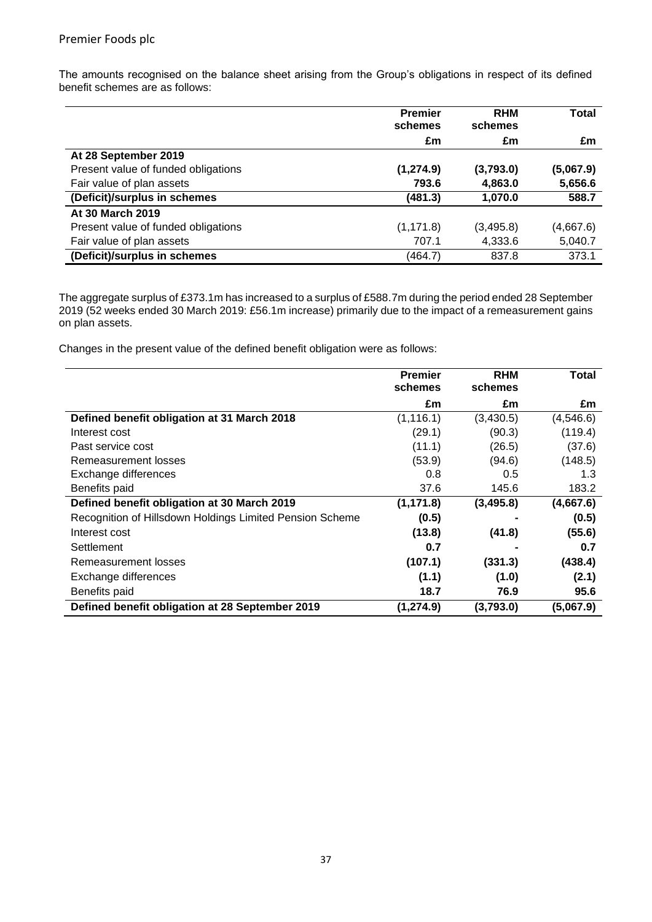The amounts recognised on the balance sheet arising from the Group's obligations in respect of its defined benefit schemes are as follows:

|                                     | <b>Premier</b><br>schemes | <b>RHM</b><br>schemes | Total     |
|-------------------------------------|---------------------------|-----------------------|-----------|
|                                     | £m                        | £m                    | £m        |
| At 28 September 2019                |                           |                       |           |
| Present value of funded obligations | (1, 274.9)                | (3,793.0)             | (5,067.9) |
| Fair value of plan assets           | 793.6                     | 4,863.0               | 5,656.6   |
| (Deficit)/surplus in schemes        | (481.3)                   | 1,070.0               | 588.7     |
| At 30 March 2019                    |                           |                       |           |
| Present value of funded obligations | (1, 171.8)                | (3,495.8)             | (4,667.6) |
| Fair value of plan assets           | 707.1                     | 4,333.6               | 5,040.7   |
| (Deficit)/surplus in schemes        | (464.7)                   | 837.8                 | 373.1     |

The aggregate surplus of £373.1m has increased to a surplus of £588.7m during the period ended 28 September 2019 (52 weeks ended 30 March 2019: £56.1m increase) primarily due to the impact of a remeasurement gains on plan assets.

Changes in the present value of the defined benefit obligation were as follows:

|                                                          | <b>Premier</b><br>schemes | <b>RHM</b><br>schemes | Total      |
|----------------------------------------------------------|---------------------------|-----------------------|------------|
|                                                          | £m                        | £m                    | £m         |
| Defined benefit obligation at 31 March 2018              | (1, 116.1)                | (3,430.5)             | (4, 546.6) |
| Interest cost                                            | (29.1)                    | (90.3)                | (119.4)    |
| Past service cost                                        | (11.1)                    | (26.5)                | (37.6)     |
| Remeasurement losses                                     | (53.9)                    | (94.6)                | (148.5)    |
| Exchange differences                                     | 0.8                       | 0.5                   | 1.3        |
| Benefits paid                                            | 37.6                      | 145.6                 | 183.2      |
| Defined benefit obligation at 30 March 2019              | (1, 171.8)                | (3, 495.8)            | (4,667.6)  |
| Recognition of Hillsdown Holdings Limited Pension Scheme | (0.5)                     |                       | (0.5)      |
| Interest cost                                            | (13.8)                    | (41.8)                | (55.6)     |
| Settlement                                               | 0.7                       |                       | 0.7        |
| Remeasurement losses                                     | (107.1)                   | (331.3)               | (438.4)    |
| Exchange differences                                     | (1.1)                     | (1.0)                 | (2.1)      |
| Benefits paid                                            | 18.7                      | 76.9                  | 95.6       |
| Defined benefit obligation at 28 September 2019          | (1, 274.9)                | (3,793.0)             | (5,067.9)  |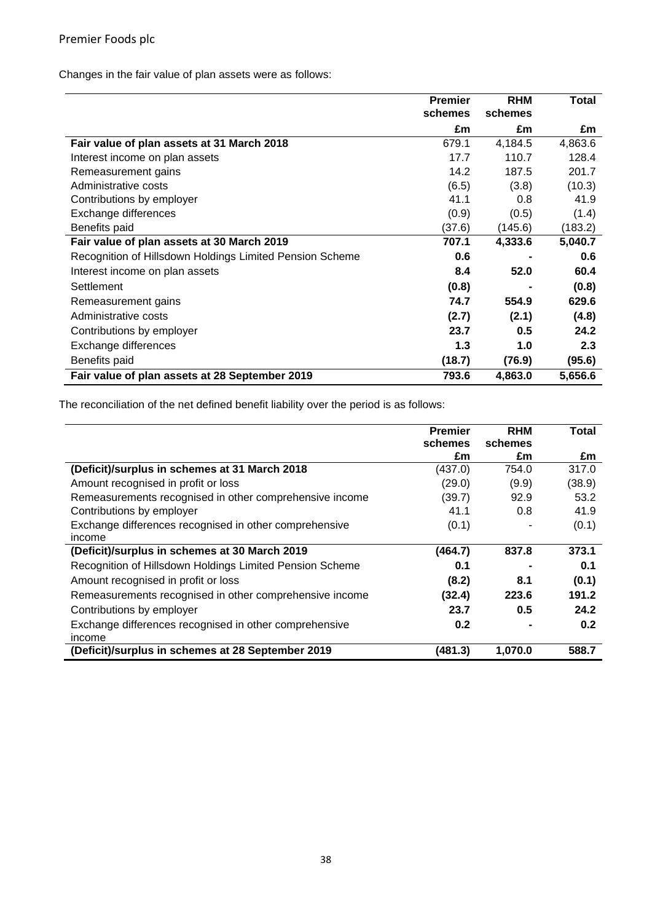Changes in the fair value of plan assets were as follows:

|                                                          | <b>Premier</b><br>schemes | <b>RHM</b><br>schemes | Total   |
|----------------------------------------------------------|---------------------------|-----------------------|---------|
|                                                          | £m                        | £m                    | £m      |
| Fair value of plan assets at 31 March 2018               | 679.1                     | 4,184.5               | 4,863.6 |
| Interest income on plan assets                           | 17.7                      | 110.7                 | 128.4   |
| Remeasurement gains                                      | 14.2                      | 187.5                 | 201.7   |
| Administrative costs                                     | (6.5)                     | (3.8)                 | (10.3)  |
| Contributions by employer                                | 41.1                      | 0.8                   | 41.9    |
| Exchange differences                                     | (0.9)                     | (0.5)                 | (1.4)   |
| Benefits paid                                            | (37.6)                    | (145.6)               | (183.2) |
| Fair value of plan assets at 30 March 2019               | 707.1                     | 4,333.6               | 5,040.7 |
| Recognition of Hillsdown Holdings Limited Pension Scheme | 0.6                       |                       | 0.6     |
| Interest income on plan assets                           | 8.4                       | 52.0                  | 60.4    |
| Settlement                                               | (0.8)                     |                       | (0.8)   |
| Remeasurement gains                                      | 74.7                      | 554.9                 | 629.6   |
| Administrative costs                                     | (2.7)                     | (2.1)                 | (4.8)   |
| Contributions by employer                                | 23.7                      | 0.5                   | 24.2    |
| Exchange differences                                     | 1.3                       | 1.0                   | 2.3     |
| Benefits paid                                            | (18.7)                    | (76.9)                | (95.6)  |
| Fair value of plan assets at 28 September 2019           | 793.6                     | 4,863.0               | 5,656.6 |

The reconciliation of the net defined benefit liability over the period is as follows:

|                                                          | <b>Premier</b> | <b>RHM</b> | Total  |
|----------------------------------------------------------|----------------|------------|--------|
|                                                          | schemes        | schemes    |        |
|                                                          | £m             | £m         | £m     |
| (Deficit)/surplus in schemes at 31 March 2018            | (437.0)        | 754.0      | 317.0  |
| Amount recognised in profit or loss                      | (29.0)         | (9.9)      | (38.9) |
| Remeasurements recognised in other comprehensive income  | (39.7)         | 92.9       | 53.2   |
| Contributions by employer                                | 41.1           | 0.8        | 41.9   |
| Exchange differences recognised in other comprehensive   | (0.1)          |            | (0.1)  |
| income                                                   |                |            |        |
| (Deficit)/surplus in schemes at 30 March 2019            | (464.7)        | 837.8      | 373.1  |
| Recognition of Hillsdown Holdings Limited Pension Scheme | 0.1            |            | 0.1    |
| Amount recognised in profit or loss                      | (8.2)          | 8.1        | (0.1)  |
| Remeasurements recognised in other comprehensive income  | (32.4)         | 223.6      | 191.2  |
| Contributions by employer                                | 23.7           | 0.5        | 24.2   |
| Exchange differences recognised in other comprehensive   | 0.2            |            | 0.2    |
| income                                                   |                |            |        |
| (Deficit)/surplus in schemes at 28 September 2019        | (481.3)        | 1,070.0    | 588.7  |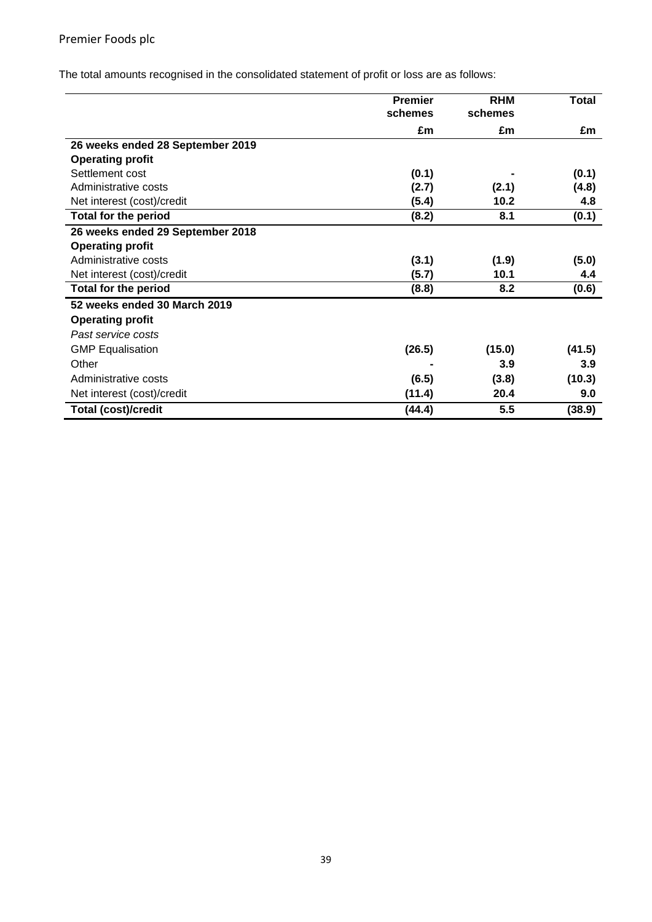# Premier Foods plc

The total amounts recognised in the consolidated statement of profit or loss are as follows:

|                                  | <b>Premier</b> | <b>RHM</b> | <b>Total</b> |
|----------------------------------|----------------|------------|--------------|
|                                  | schemes        | schemes    |              |
|                                  | £m             | £m         | £m           |
| 26 weeks ended 28 September 2019 |                |            |              |
| <b>Operating profit</b>          |                |            |              |
| Settlement cost                  | (0.1)          |            | (0.1)        |
| Administrative costs             | (2.7)          | (2.1)      | (4.8)        |
| Net interest (cost)/credit       | (5.4)          | 10.2       | 4.8          |
| <b>Total for the period</b>      | (8.2)          | 8.1        | (0.1)        |
| 26 weeks ended 29 September 2018 |                |            |              |
| <b>Operating profit</b>          |                |            |              |
| Administrative costs             | (3.1)          | (1.9)      | (5.0)        |
| Net interest (cost)/credit       | (5.7)          | 10.1       | 4.4          |
| <b>Total for the period</b>      | (8.8)          | 8.2        | (0.6)        |
| 52 weeks ended 30 March 2019     |                |            |              |
| <b>Operating profit</b>          |                |            |              |
| Past service costs               |                |            |              |
| <b>GMP</b> Equalisation          | (26.5)         | (15.0)     | (41.5)       |
| Other                            |                | 3.9        | 3.9          |
| Administrative costs             | (6.5)          | (3.8)      | (10.3)       |
| Net interest (cost)/credit       | (11.4)         | 20.4       | 9.0          |
| <b>Total (cost)/credit</b>       | (44.4)         | 5.5        | (38.9)       |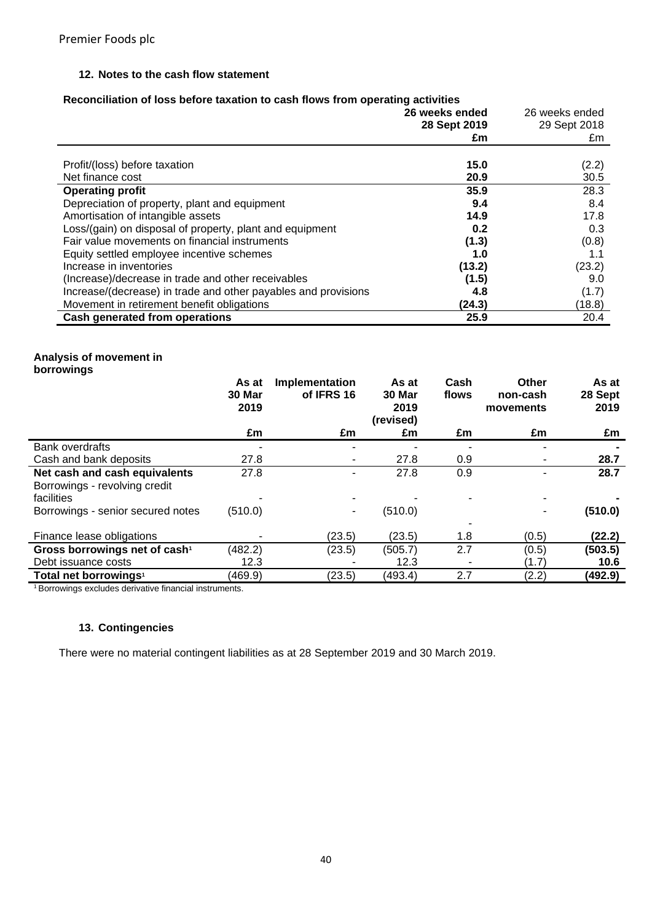### **12. Notes to the cash flow statement**

| Reconciliation of loss before taxation to cash flows from operating activities | 26 weeks ended<br>28 Sept 2019<br>£m | 26 weeks ended<br>29 Sept 2018<br>£m |
|--------------------------------------------------------------------------------|--------------------------------------|--------------------------------------|
| Profit/(loss) before taxation                                                  | 15.0                                 | (2.2)                                |
| Net finance cost                                                               | 20.9                                 | 30.5                                 |
| <b>Operating profit</b>                                                        | 35.9                                 | 28.3                                 |
| Depreciation of property, plant and equipment                                  | 9.4                                  | 8.4                                  |
| Amortisation of intangible assets                                              | 14.9                                 | 17.8                                 |
| Loss/(gain) on disposal of property, plant and equipment                       | 0.2                                  | 0.3                                  |
| Fair value movements on financial instruments                                  | (1.3)                                | (0.8)                                |
| Equity settled employee incentive schemes                                      | 1.0                                  | 1.1                                  |
| Increase in inventories                                                        | (13.2)                               | (23.2)                               |
| (Increase)/decrease in trade and other receivables                             | (1.5)                                | 9.0                                  |
| Increase/(decrease) in trade and other payables and provisions                 | 4.8                                  | (1.7)                                |
| Movement in retirement benefit obligations                                     | (24.3)                               | (18.8)                               |
| <b>Cash generated from operations</b>                                          | 25.9                                 | 20.4                                 |

#### **Analysis of movement in borrowings**

|                                                                | As at<br>30 Mar<br>2019 | Implementation<br>of IFRS 16 | As at<br>30 Mar<br>2019<br>(revised) | Cash<br>flows | Other<br>non-cash<br>movements | As at<br>28 Sept<br>2019 |
|----------------------------------------------------------------|-------------------------|------------------------------|--------------------------------------|---------------|--------------------------------|--------------------------|
|                                                                | £m                      | £m                           | £m                                   | £m            | £m                             | £m                       |
| <b>Bank overdrafts</b>                                         |                         |                              |                                      |               |                                |                          |
| Cash and bank deposits                                         | 27.8                    | $\blacksquare$               | 27.8                                 | 0.9           |                                | 28.7                     |
| Net cash and cash equivalents<br>Borrowings - revolving credit | 27.8                    |                              | 27.8                                 | 0.9           |                                | 28.7                     |
| facilities<br>Borrowings - senior secured notes                | (510.0)                 |                              | (510.0)                              |               |                                | (510.0)                  |
| Finance lease obligations                                      |                         | (23.5)                       | (23.5)                               | 1.8           | (0.5)                          | (22.2)                   |
| Gross borrowings net of cash <sup>1</sup>                      | (482.2)                 | (23.5)                       | (505.7)                              | 2.7           | (0.5)                          | (503.5)                  |
| Debt issuance costs                                            | 12.3                    |                              | 12.3                                 |               | (1.7)                          | 10.6                     |
| Total net borrowings <sup>1</sup>                              | (469.9)                 | (23.5)                       | (493.4)                              | 2.7           | (2.2)                          | (492.9)                  |

<sup>1</sup> Borrowings excludes derivative financial instruments.

### **13. Contingencies**

There were no material contingent liabilities as at 28 September 2019 and 30 March 2019.